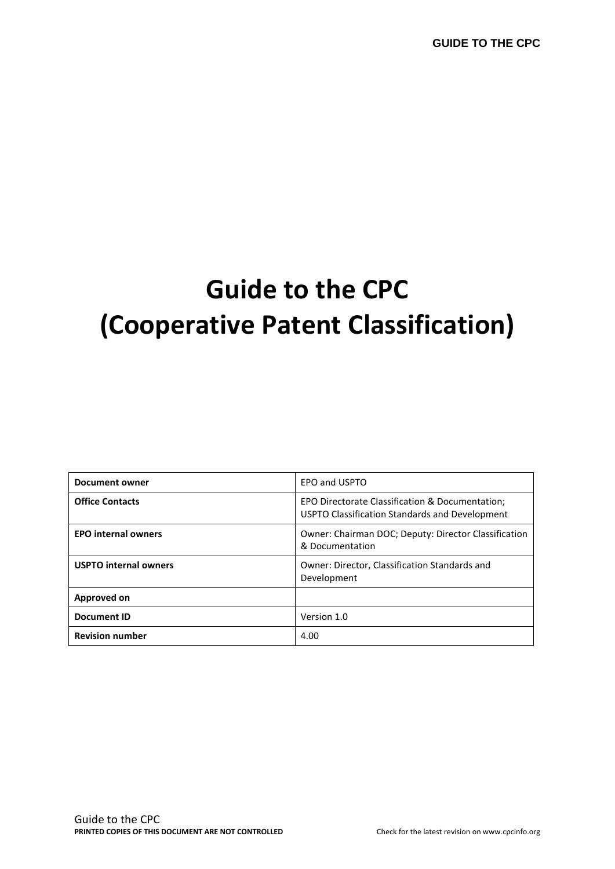# **Guide to the CPC (Cooperative Patent Classification)**

| Document owner               | EPO and USPTO                                                                                     |
|------------------------------|---------------------------------------------------------------------------------------------------|
| <b>Office Contacts</b>       | EPO Directorate Classification & Documentation;<br>USPTO Classification Standards and Development |
| <b>EPO internal owners</b>   | <b>Owner: Chairman DOC: Deputy: Director Classification</b><br>& Documentation                    |
| <b>USPTO internal owners</b> | Owner: Director, Classification Standards and<br>Development                                      |
| Approved on                  |                                                                                                   |
| <b>Document ID</b>           | Version 1.0                                                                                       |
| <b>Revision number</b>       | 4.00                                                                                              |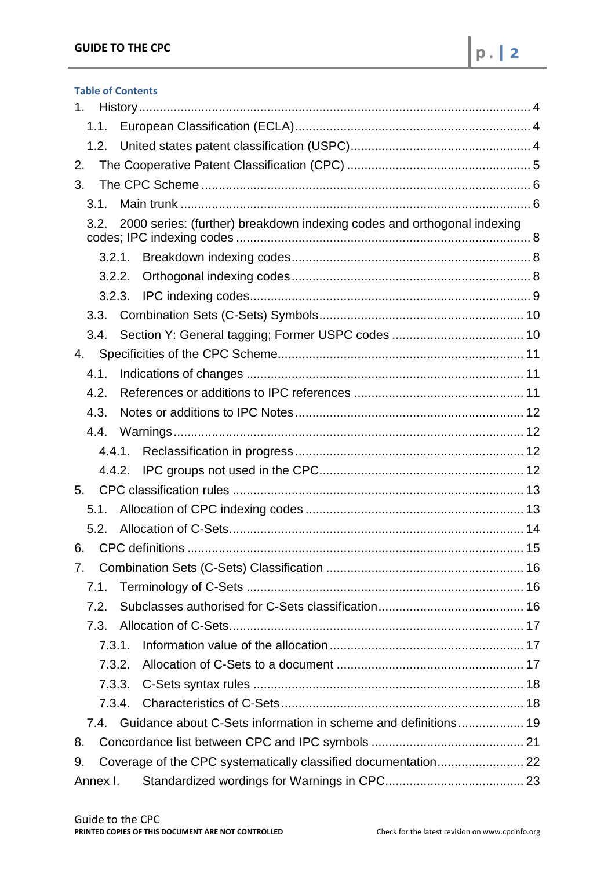| <b>Table of Contents</b>                                                        |
|---------------------------------------------------------------------------------|
| 1.                                                                              |
| 1.1.                                                                            |
|                                                                                 |
| 2.                                                                              |
| 3.                                                                              |
| 3.1.                                                                            |
| 2000 series: (further) breakdown indexing codes and orthogonal indexing<br>3.2. |
| 3.2.1.                                                                          |
| 3.2.2.                                                                          |
|                                                                                 |
| 3.3.                                                                            |
| 3.4.                                                                            |
| 4.                                                                              |
| 4.1.                                                                            |
| 4.2.                                                                            |
| 4.3.                                                                            |
| 4.4.                                                                            |
|                                                                                 |
|                                                                                 |
| 5.                                                                              |
| 5.1.                                                                            |
| 5.2.                                                                            |
| 15                                                                              |
| 7.                                                                              |
| 7.1.                                                                            |
| 7.2.                                                                            |
| 7.3.                                                                            |
| 7.3.1.                                                                          |
| 7.3.2.                                                                          |
| 7.3.3.                                                                          |
| 7.3.4.                                                                          |
| 7.4. Guidance about C-Sets information in scheme and definitions 19             |
| 8.                                                                              |
| 9.                                                                              |
| Annex I.                                                                        |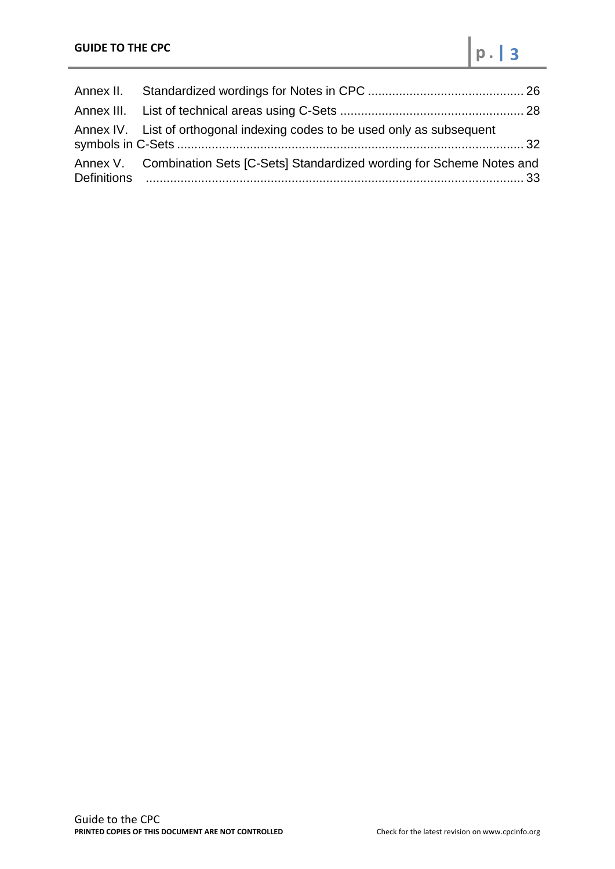| Annex IV. List of orthogonal indexing codes to be used only as subsequent    |  |
|------------------------------------------------------------------------------|--|
| Annex V. Combination Sets [C-Sets] Standardized wording for Scheme Notes and |  |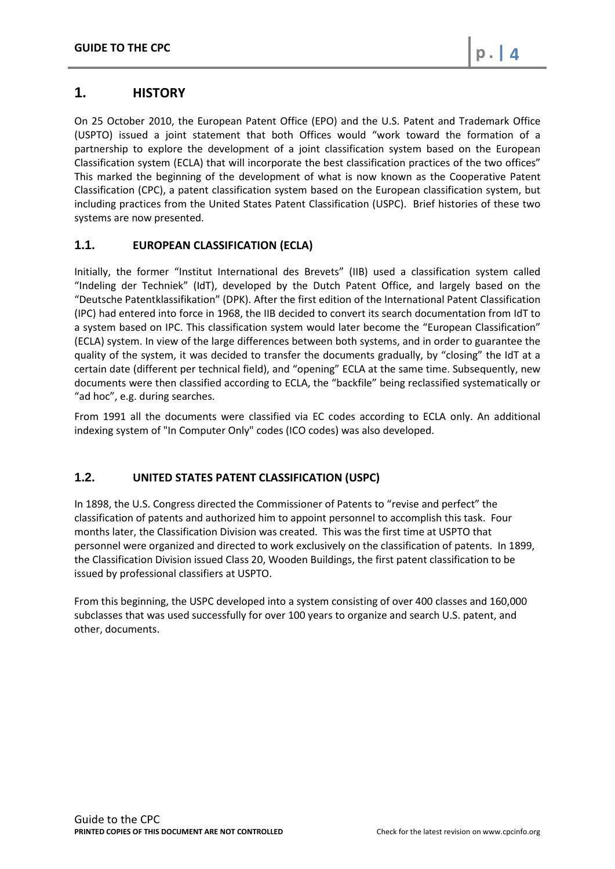# <span id="page-3-0"></span>**1. HISTORY**

On 25 October 2010, the European Patent Office (EPO) and the U.S. Patent and Trademark Office (USPTO) issued a joint statement that both Offices would "work toward the formation of a partnership to explore the development of a joint classification system based on the European Classification system (ECLA) that will incorporate the best classification practices of the two offices" This marked the beginning of the development of what is now known as the Cooperative Patent Classification (CPC), a patent classification system based on the European classification system, but including practices from the United States Patent Classification (USPC). Brief histories of these two systems are now presented.

# <span id="page-3-1"></span>**1.1. EUROPEAN CLASSIFICATION (ECLA)**

Initially, the former "Institut International des Brevets" (IIB) used a classification system called "Indeling der Techniek" (IdT), developed by the Dutch Patent Office, and largely based on the "Deutsche Patentklassifikation" (DPK). After the first edition of the International Patent Classification (IPC) had entered into force in 1968, the IIB decided to convert its search documentation from IdT to a system based on IPC. This classification system would later become the "European Classification" (ECLA) system. In view of the large differences between both systems, and in order to guarantee the quality of the system, it was decided to transfer the documents gradually, by "closing" the IdT at a certain date (different per technical field), and "opening" ECLA at the same time. Subsequently, new documents were then classified according to ECLA, the "backfile" being reclassified systematically or "ad hoc", e.g. during searches.

From 1991 all the documents were classified via EC codes according to ECLA only. An additional indexing system of "In Computer Only" codes (ICO codes) was also developed.

# <span id="page-3-2"></span>**1.2. UNITED STATES PATENT CLASSIFICATION (USPC)**

In 1898, the U.S. Congress directed the Commissioner of Patents to "revise and perfect" the classification of patents and authorized him to appoint personnel to accomplish this task. Four months later, the Classification Division was created. This was the first time at USPTO that personnel were organized and directed to work exclusively on the classification of patents. In 1899, the Classification Division issued Class 20, Wooden Buildings, the first patent classification to be issued by professional classifiers at USPTO.

From this beginning, the USPC developed into a system consisting of over 400 classes and 160,000 subclasses that was used successfully for over 100 years to organize and search U.S. patent, and other, documents.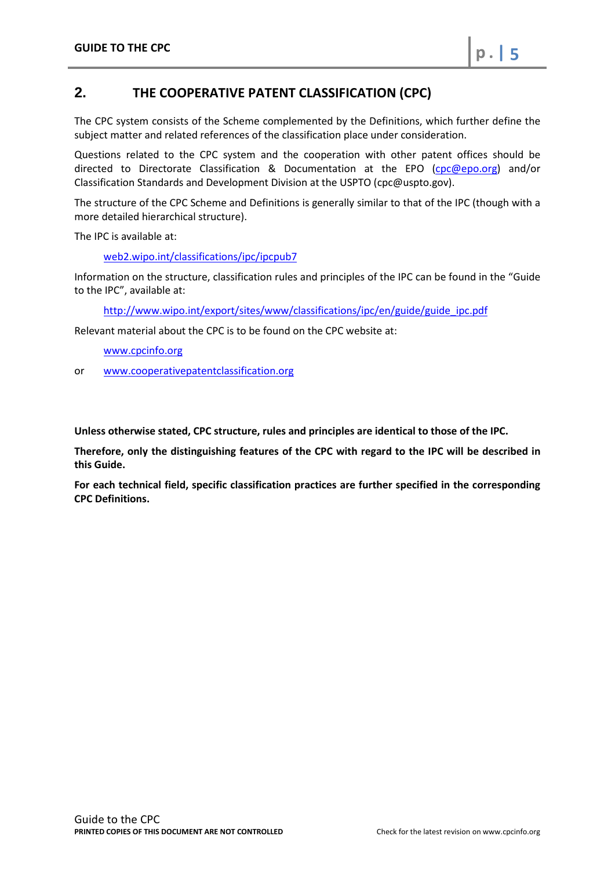# <span id="page-4-0"></span>**2. THE COOPERATIVE PATENT CLASSIFICATION (CPC)**

The CPC system consists of the Scheme complemented by the Definitions, which further define the subject matter and related references of the classification place under consideration.

Questions related to the CPC system and the cooperation with other patent offices should be directed to Directorate Classification & Documentation at the EPO [\(cpc@epo.org\)](mailto:dir_classification@epo.org) and/or Classification Standards and Development Division at the USPTO (cpc@uspto.gov).

The structure of the CPC Scheme and Definitions is generally similar to that of the IPC (though with a more detailed hierarchical structure).

The IPC is available at:

web2.wipo.int/classifications/ipc/ipcpub7

Information on the structure, classification rules and principles of the IPC can be found in the "Guide to the IPC", available at:

[http://www.wipo.int/export/sites/www/classifications/ipc/en/guide/guide\\_ipc.pdf](http://www.wipo.int/export/sites/www/classifications/ipc/en/guide/guide_ipc.pdf)

Relevant material about the CPC is to be found on the CPC website at:

[www.cpcinfo.org](http://www.cpcinfo.org/)

or [www.cooperativepatentclassification.org](http://www.cooperativepatentclassification.org/)

**Unless otherwise stated, CPC structure, rules and principles are identical to those of the IPC.**

**Therefore, only the distinguishing features of the CPC with regard to the IPC will be described in this Guide.** 

**For each technical field, specific classification practices are further specified in the corresponding CPC Definitions.**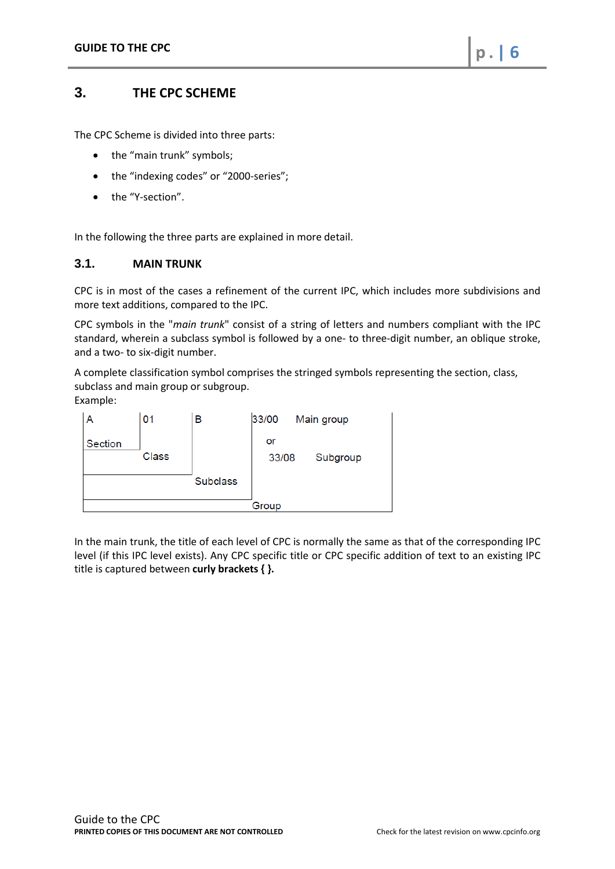# <span id="page-5-0"></span>**3. THE CPC SCHEME**

The CPC Scheme is divided into three parts:

- the "main trunk" symbols;
- the "indexing codes" or "2000-series";
- the "Y-section".

<span id="page-5-1"></span>In the following the three parts are explained in more detail.

#### **3.1. MAIN TRUNK**

CPC is in most of the cases a refinement of the current IPC, which includes more subdivisions and more text additions, compared to the IPC.

CPC symbols in the "*main trunk*" consist of a string of letters and numbers compliant with the IPC standard, wherein a subclass symbol is followed by a one- to three-digit number, an oblique stroke, and a two- to six-digit number.

A complete classification symbol comprises the stringed symbols representing the section, class, subclass and main group or subgroup.

Example:



In the main trunk, the title of each level of CPC is normally the same as that of the corresponding IPC level (if this IPC level exists). Any CPC specific title or CPC specific addition of text to an existing IPC title is captured between **curly brackets { }.**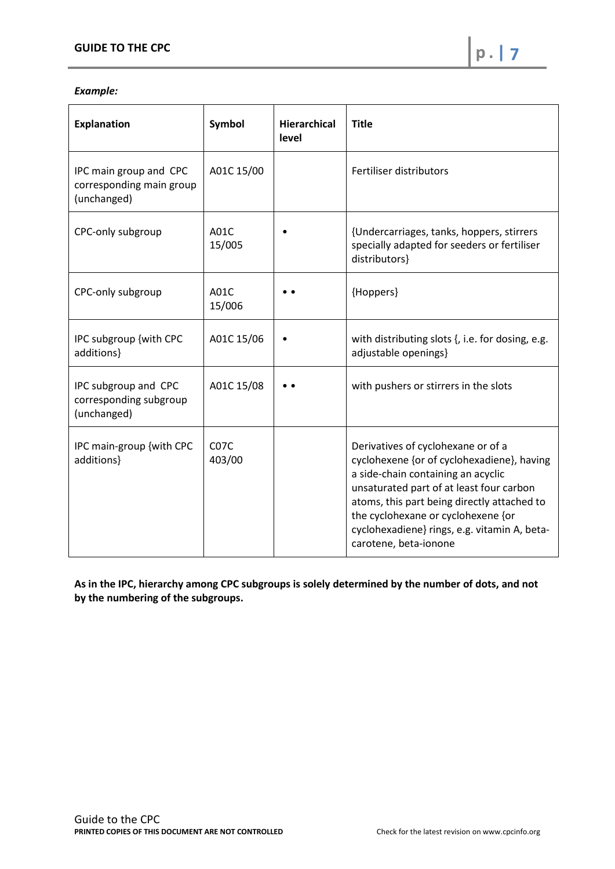## *Example:*

| <b>Explanation</b>                                                | Symbol                      | <b>Hierarchical</b><br>level | <b>Title</b>                                                                                                                                                                                                                                                                                                                     |
|-------------------------------------------------------------------|-----------------------------|------------------------------|----------------------------------------------------------------------------------------------------------------------------------------------------------------------------------------------------------------------------------------------------------------------------------------------------------------------------------|
| IPC main group and CPC<br>corresponding main group<br>(unchanged) | A01C 15/00                  |                              | Fertiliser distributors                                                                                                                                                                                                                                                                                                          |
| CPC-only subgroup                                                 | A01C<br>15/005              |                              | {Undercarriages, tanks, hoppers, stirrers<br>specially adapted for seeders or fertiliser<br>distributors}                                                                                                                                                                                                                        |
| CPC-only subgroup                                                 | A01C<br>15/006              |                              | {Hoppers}                                                                                                                                                                                                                                                                                                                        |
| IPC subgroup {with CPC<br>additions}                              | A01C 15/06                  |                              | with distributing slots {, i.e. for dosing, e.g.<br>adjustable openings}                                                                                                                                                                                                                                                         |
| IPC subgroup and CPC<br>corresponding subgroup<br>(unchanged)     | A01C 15/08                  |                              | with pushers or stirrers in the slots                                                                                                                                                                                                                                                                                            |
| IPC main-group {with CPC<br>additions}                            | C <sub>07</sub> C<br>403/00 |                              | Derivatives of cyclohexane or of a<br>cyclohexene {or of cyclohexadiene}, having<br>a side-chain containing an acyclic<br>unsaturated part of at least four carbon<br>atoms, this part being directly attached to<br>the cyclohexane or cyclohexene {or<br>cyclohexadiene} rings, e.g. vitamin A, beta-<br>carotene, beta-ionone |

**As in the IPC, hierarchy among CPC subgroups is solely determined by the number of dots, and not by the numbering of the subgroups.**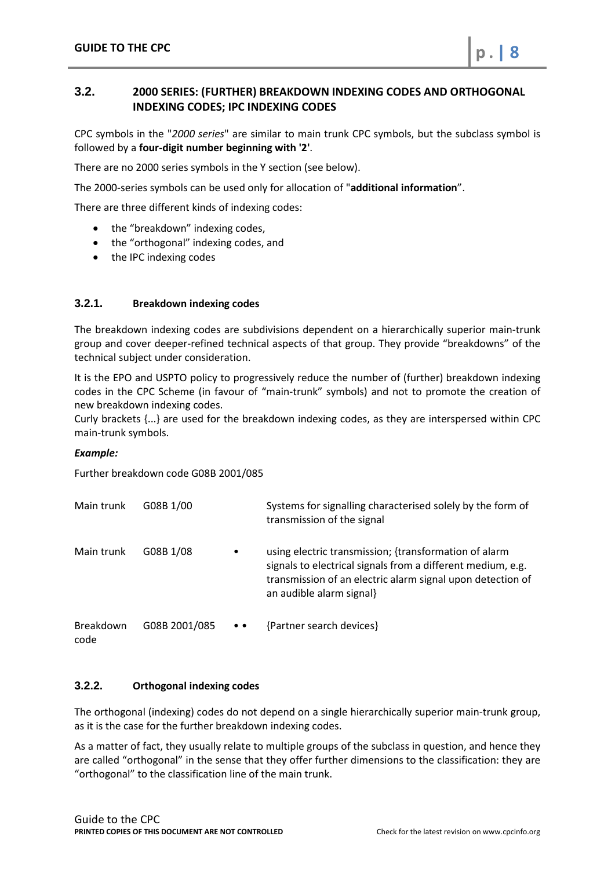# <span id="page-7-0"></span>**3.2. 2000 SERIES: (FURTHER) BREAKDOWN INDEXING CODES AND ORTHOGONAL INDEXING CODES; IPC INDEXING CODES**

CPC symbols in the "*2000 series*" are similar to main trunk CPC symbols, but the subclass symbol is followed by a **four-digit number beginning with '2'**.

There are no 2000 series symbols in the Y section (see below).

The 2000-series symbols can be used only for allocation of "**additional information**".

There are three different kinds of indexing codes:

- the "breakdown" indexing codes,
- the "orthogonal" indexing codes, and
- the IPC indexing codes

#### <span id="page-7-1"></span>**3.2.1. Breakdown indexing codes**

The breakdown indexing codes are subdivisions dependent on a hierarchically superior main-trunk group and cover deeper-refined technical aspects of that group. They provide "breakdowns" of the technical subject under consideration.

It is the EPO and USPTO policy to progressively reduce the number of (further) breakdown indexing codes in the CPC Scheme (in favour of "main-trunk" symbols) and not to promote the creation of new breakdown indexing codes.

Curly brackets {...} are used for the breakdown indexing codes, as they are interspersed within CPC main-trunk symbols.

#### *Example:*

Further breakdown code G08B 2001/085

| Main trunk        | G08B 1/00     |                    | Systems for signalling characterised solely by the form of<br>transmission of the signal                                                                                                                       |
|-------------------|---------------|--------------------|----------------------------------------------------------------------------------------------------------------------------------------------------------------------------------------------------------------|
| Main trunk        | G08B 1/08     | $\bullet$          | using electric transmission; {transformation of alarm<br>signals to electrical signals from a different medium, e.g.<br>transmission of an electric alarm signal upon detection of<br>an audible alarm signal} |
| Breakdown<br>code | G08B 2001/085 | $\bullet\;\bullet$ | {Partner search devices}                                                                                                                                                                                       |

#### <span id="page-7-2"></span>**3.2.2. Orthogonal indexing codes**

The orthogonal (indexing) codes do not depend on a single hierarchically superior main-trunk group, as it is the case for the further breakdown indexing codes.

As a matter of fact, they usually relate to multiple groups of the subclass in question, and hence they are called "orthogonal" in the sense that they offer further dimensions to the classification: they are "orthogonal" to the classification line of the main trunk.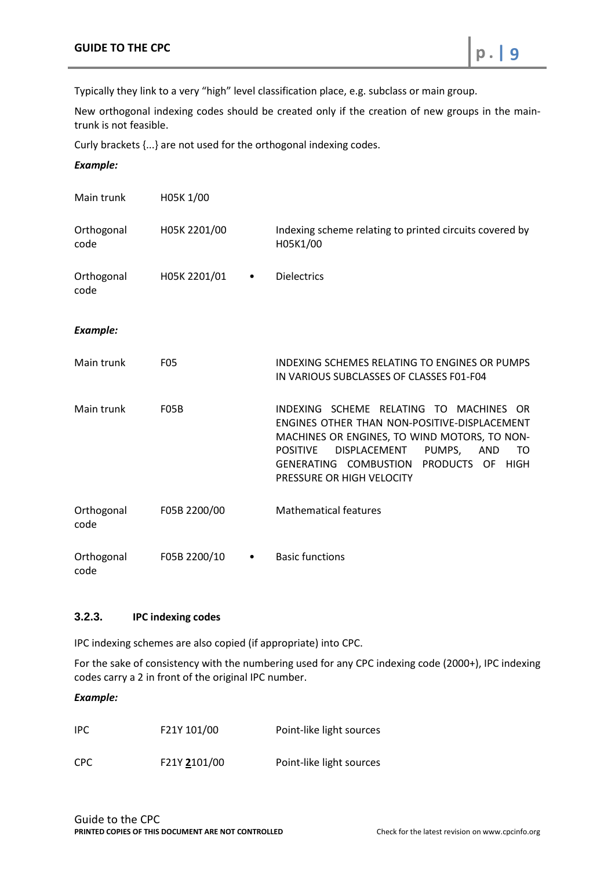Typically they link to a very "high" level classification place, e.g. subclass or main group.

New orthogonal indexing codes should be created only if the creation of new groups in the maintrunk is not feasible.

Curly brackets {...} are not used for the orthogonal indexing codes.

*Example:*

| Main trunk         | H05K 1/00         |                                                                                                                                                                                                                                                                                 |
|--------------------|-------------------|---------------------------------------------------------------------------------------------------------------------------------------------------------------------------------------------------------------------------------------------------------------------------------|
| Orthogonal<br>code | H05K 2201/00      | Indexing scheme relating to printed circuits covered by<br>H05K1/00                                                                                                                                                                                                             |
| Orthogonal<br>code | H05K 2201/01<br>٠ | <b>Dielectrics</b>                                                                                                                                                                                                                                                              |
| <b>Example:</b>    |                   |                                                                                                                                                                                                                                                                                 |
| Main trunk         | <b>F05</b>        | INDEXING SCHEMES RELATING TO ENGINES OR PUMPS<br>IN VARIOUS SUBCLASSES OF CLASSES F01-F04                                                                                                                                                                                       |
| Main trunk         | <b>F05B</b>       | INDEXING SCHEME RELATING TO MACHINES<br>OR.<br>ENGINES OTHER THAN NON-POSITIVE-DISPLACEMENT<br>MACHINES OR ENGINES, TO WIND MOTORS, TO NON-<br><b>POSITIVE</b><br>DISPLACEMENT<br>PUMPS,<br>TO<br>AND<br>PRODUCTS OF HIGH<br>GENERATING COMBUSTION<br>PRESSURE OR HIGH VELOCITY |
| Orthogonal<br>code | F05B 2200/00      | <b>Mathematical features</b>                                                                                                                                                                                                                                                    |
| Orthogonal<br>code | F05B 2200/10<br>٠ | <b>Basic functions</b>                                                                                                                                                                                                                                                          |

# <span id="page-8-0"></span>**3.2.3. IPC indexing codes**

IPC indexing schemes are also copied (if appropriate) into CPC.

For the sake of consistency with the numbering used for any CPC indexing code (2000+), IPC indexing codes carry a 2 in front of the original IPC number.

*Example:*

| IPC. | F21Y 101/00  | Point-like light sources |
|------|--------------|--------------------------|
| CPC. | F21Y 2101/00 | Point-like light sources |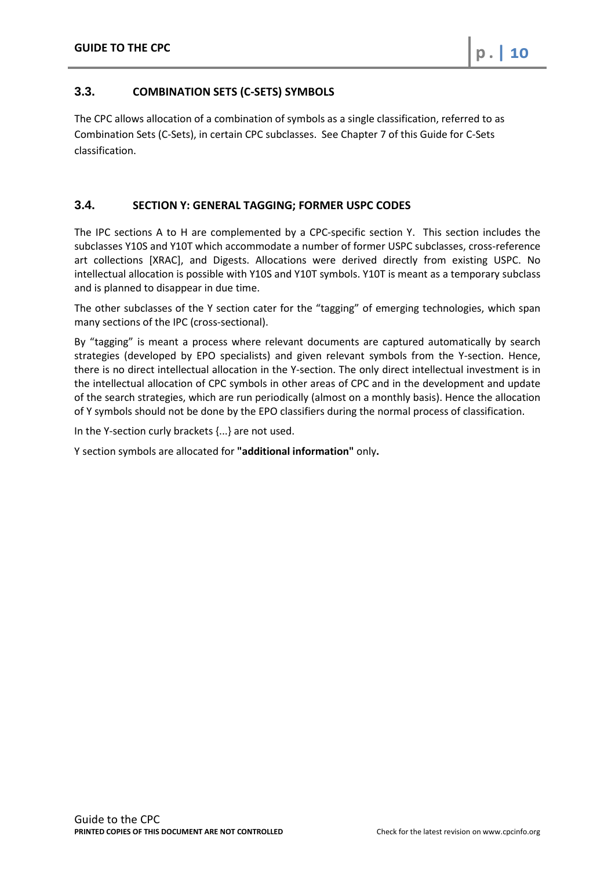# <span id="page-9-0"></span>**3.3. COMBINATION SETS (C-SETS) SYMBOLS**

The CPC allows allocation of a combination of symbols as a single classification, referred to as Combination Sets (C-Sets), in certain CPC subclasses. See Chapter 7 of this Guide for C-Sets classification.

## <span id="page-9-1"></span>**3.4. SECTION Y: GENERAL TAGGING; FORMER USPC CODES**

The IPC sections A to H are complemented by a CPC-specific section Y. This section includes the subclasses Y10S and Y10T which accommodate a number of former USPC subclasses, cross-reference art collections [XRAC], and Digests. Allocations were derived directly from existing USPC. No intellectual allocation is possible with Y10S and Y10T symbols. Y10T is meant as a temporary subclass and is planned to disappear in due time.

The other subclasses of the Y section cater for the "tagging" of emerging technologies, which span many sections of the IPC (cross-sectional).

By "tagging" is meant a process where relevant documents are captured automatically by search strategies (developed by EPO specialists) and given relevant symbols from the Y-section. Hence, there is no direct intellectual allocation in the Y-section. The only direct intellectual investment is in the intellectual allocation of CPC symbols in other areas of CPC and in the development and update of the search strategies, which are run periodically (almost on a monthly basis). Hence the allocation of Y symbols should not be done by the EPO classifiers during the normal process of classification.

In the Y-section curly brackets {...} are not used.

Y section symbols are allocated for **"additional information"** only**.**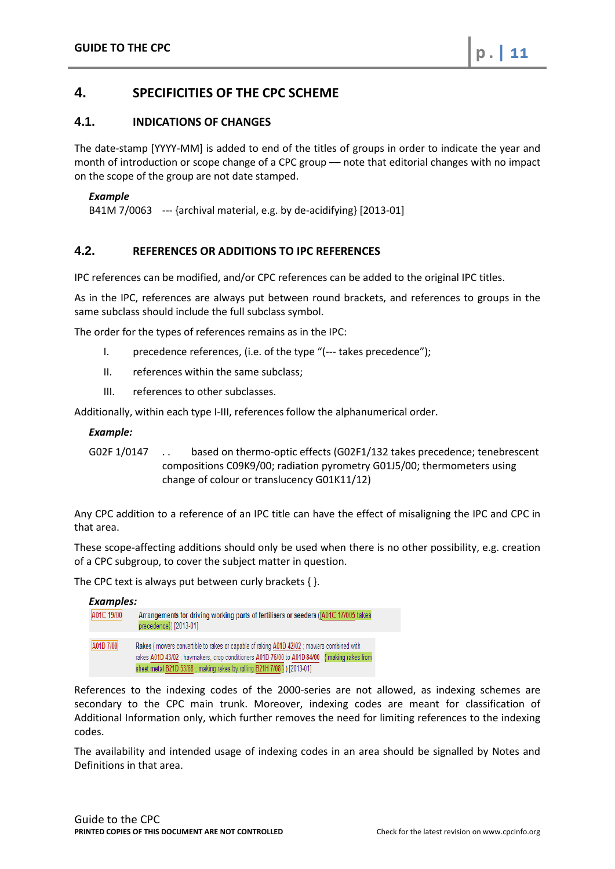# <span id="page-10-0"></span>**4. SPECIFICITIES OF THE CPC SCHEME**

## <span id="page-10-1"></span>**4.1. INDICATIONS OF CHANGES**

The date-stamp [YYYY-MM] is added to end of the titles of groups in order to indicate the year and month of introduction or scope change of a CPC group - note that editorial changes with no impact on the scope of the group are not date stamped.

#### *Example*

B41M 7/0063 --- {archival material, e.g. by de-acidifying} [2013-01]

# <span id="page-10-2"></span>**4.2. REFERENCES OR ADDITIONS TO IPC REFERENCES**

IPC references can be modified, and/or CPC references can be added to the original IPC titles.

As in the IPC, references are always put between round brackets, and references to groups in the same subclass should include the full subclass symbol.

The order for the types of references remains as in the IPC:

- I. precedence references, (i.e. of the type "(--- takes precedence");
- II. references within the same subclass;
- III. references to other subclasses.

Additionally, within each type I-III, references follow the alphanumerical order.

#### *Example:*

G02F 1/0147 . . based on thermo-optic effects (G02F1/132 takes precedence; tenebrescent compositions C09K9/00; radiation pyrometry G01J5/00; thermometers using change of colour or translucency G01K11/12)

Any CPC addition to a reference of an IPC title can have the effect of misaligning the IPC and CPC in that area.

These scope-affecting additions should only be used when there is no other possibility, e.g. creation of a CPC subgroup, to cover the subject matter in question.

The CPC text is always put between curly brackets { }.

| <b>Examples:</b> |                                                                                                                                                                                                                                                                      |
|------------------|----------------------------------------------------------------------------------------------------------------------------------------------------------------------------------------------------------------------------------------------------------------------|
| A01C 19/00       | Arrangements for driving working parts of fertilisers or seeders ((A01C 17/005 takes)<br>precedence) [2013-01]                                                                                                                                                       |
| A01D 7/00        | Rakes (mowers convertible to rakes or capable of raking A01D 42/02; mowers combined with<br>rakes A01D 43/02 ; haymakers, crop conditioners A01D 76/00 to A01D 84/00 ; { making rakes from<br>sheet metal B21D 53/68; making rakes by rolling B21H 7/08 }) [2013-01] |

References to the indexing codes of the 2000-series are not allowed, as indexing schemes are secondary to the CPC main trunk. Moreover, indexing codes are meant for classification of Additional Information only, which further removes the need for limiting references to the indexing codes.

The availability and intended usage of indexing codes in an area should be signalled by Notes and Definitions in that area.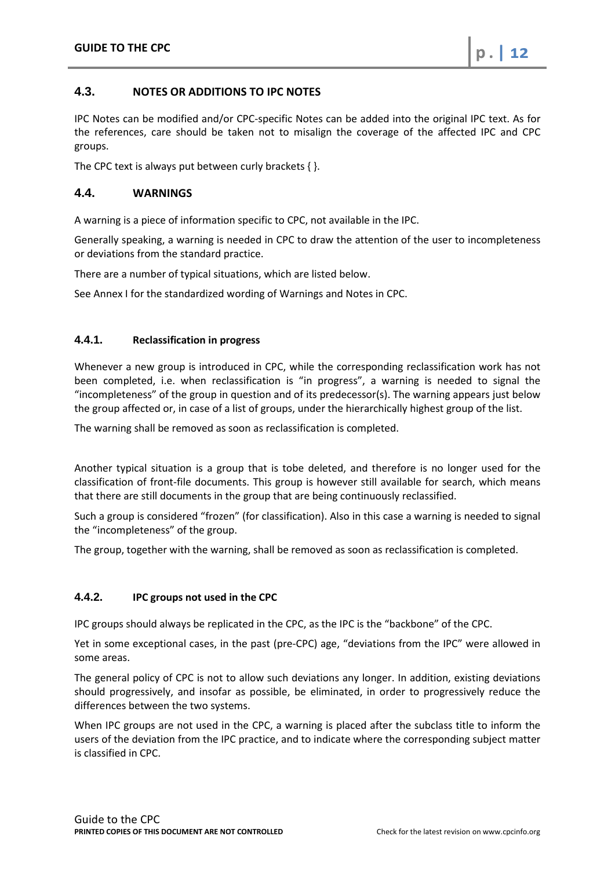# <span id="page-11-0"></span>**4.3. NOTES OR ADDITIONS TO IPC NOTES**

IPC Notes can be modified and/or CPC-specific Notes can be added into the original IPC text. As for the references, care should be taken not to misalign the coverage of the affected IPC and CPC groups.

The CPC text is always put between curly brackets { }.

## <span id="page-11-1"></span>**4.4. WARNINGS**

A warning is a piece of information specific to CPC, not available in the IPC.

Generally speaking, a warning is needed in CPC to draw the attention of the user to incompleteness or deviations from the standard practice.

There are a number of typical situations, which are listed below.

See Annex I for the standardized wording of Warnings and Notes in CPC.

#### <span id="page-11-2"></span>**4.4.1. Reclassification in progress**

Whenever a new group is introduced in CPC, while the corresponding reclassification work has not been completed, i.e. when reclassification is "in progress", a warning is needed to signal the "incompleteness" of the group in question and of its predecessor(s). The warning appears just below the group affected or, in case of a list of groups, under the hierarchically highest group of the list.

The warning shall be removed as soon as reclassification is completed.

Another typical situation is a group that is tobe deleted, and therefore is no longer used for the classification of front-file documents. This group is however still available for search, which means that there are still documents in the group that are being continuously reclassified.

Such a group is considered "frozen" (for classification). Also in this case a warning is needed to signal the "incompleteness" of the group.

The group, together with the warning, shall be removed as soon as reclassification is completed.

#### <span id="page-11-3"></span>**4.4.2. IPC groups not used in the CPC**

IPC groups should always be replicated in the CPC, as the IPC is the "backbone" of the CPC.

Yet in some exceptional cases, in the past (pre-CPC) age, "deviations from the IPC" were allowed in some areas.

The general policy of CPC is not to allow such deviations any longer. In addition, existing deviations should progressively, and insofar as possible, be eliminated, in order to progressively reduce the differences between the two systems.

When IPC groups are not used in the CPC, a warning is placed after the subclass title to inform the users of the deviation from the IPC practice, and to indicate where the corresponding subject matter is classified in CPC.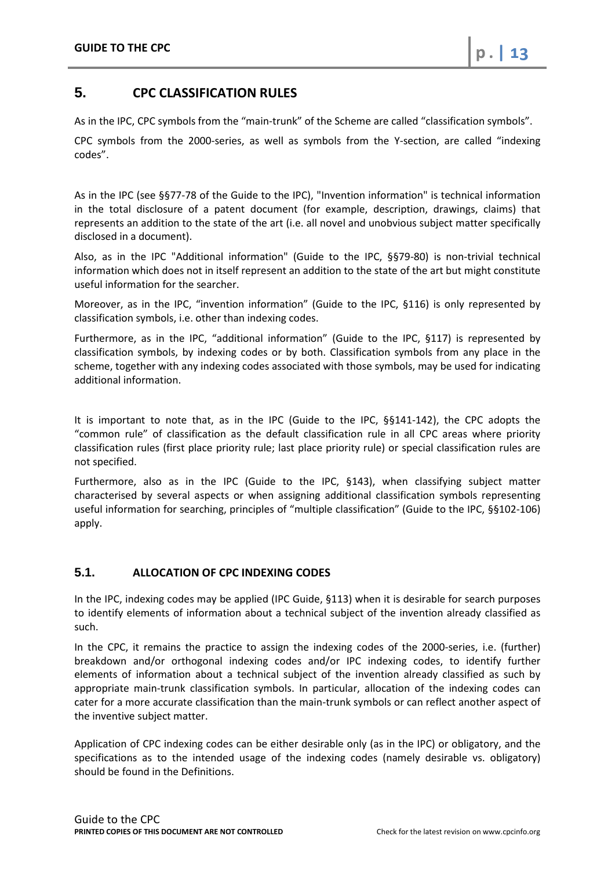# <span id="page-12-0"></span>**5. CPC CLASSIFICATION RULES**

As in the IPC, CPC symbols from the "main-trunk" of the Scheme are called "classification symbols".

CPC symbols from the 2000-series, as well as symbols from the Y-section, are called "indexing codes".

As in the IPC (see §§77-78 of the Guide to the IPC), "Invention information" is technical information in the total disclosure of a patent document (for example, description, drawings, claims) that represents an addition to the state of the art (i.e. all novel and unobvious subject matter specifically disclosed in a document).

Also, as in the IPC "Additional information" (Guide to the IPC, §§79-80) is non-trivial technical information which does not in itself represent an addition to the state of the art but might constitute useful information for the searcher.

Moreover, as in the IPC, "invention information" (Guide to the IPC, §116) is only represented by classification symbols, i.e. other than indexing codes.

Furthermore, as in the IPC, "additional information" (Guide to the IPC, §117) is represented by classification symbols, by indexing codes or by both. Classification symbols from any place in the scheme, together with any indexing codes associated with those symbols, may be used for indicating additional information.

It is important to note that, as in the IPC (Guide to the IPC, §§141-142), the CPC adopts the "common rule" of classification as the default classification rule in all CPC areas where priority classification rules (first place priority rule; last place priority rule) or special classification rules are not specified.

Furthermore, also as in the IPC (Guide to the IPC, §143), when classifying subject matter characterised by several aspects or when assigning additional classification symbols representing useful information for searching, principles of "multiple classification" (Guide to the IPC, §§102-106) apply.

# <span id="page-12-1"></span>**5.1. ALLOCATION OF CPC INDEXING CODES**

In the IPC, indexing codes may be applied (IPC Guide, §113) when it is desirable for search purposes to identify elements of information about a technical subject of the invention already classified as such.

In the CPC, it remains the practice to assign the indexing codes of the 2000-series, i.e. (further) breakdown and/or orthogonal indexing codes and/or IPC indexing codes, to identify further elements of information about a technical subject of the invention already classified as such by appropriate main-trunk classification symbols. In particular, allocation of the indexing codes can cater for a more accurate classification than the main-trunk symbols or can reflect another aspect of the inventive subject matter.

Application of CPC indexing codes can be either desirable only (as in the IPC) or obligatory, and the specifications as to the intended usage of the indexing codes (namely desirable vs. obligatory) should be found in the Definitions.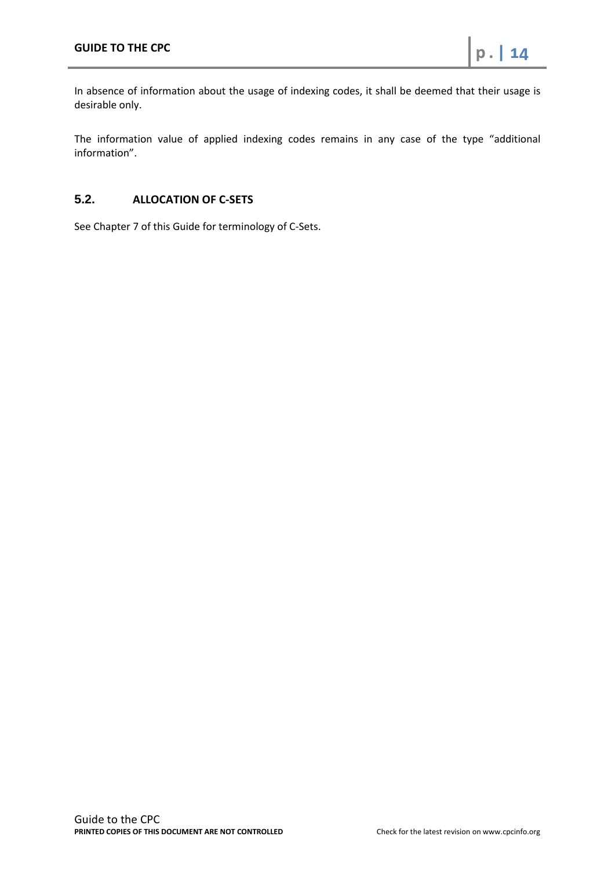In absence of information about the usage of indexing codes, it shall be deemed that their usage is desirable only.

The information value of applied indexing codes remains in any case of the type "additional information".

# <span id="page-13-0"></span>**5.2. ALLOCATION OF C-SETS**

See Chapter 7 of this Guide for terminology of C-Sets.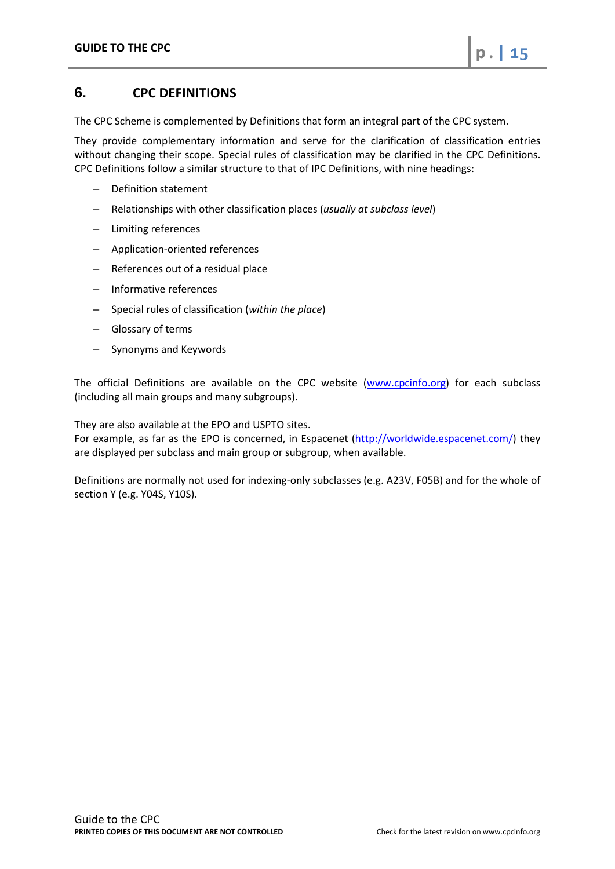# <span id="page-14-0"></span>**6. CPC DEFINITIONS**

The CPC Scheme is complemented by Definitions that form an integral part of the CPC system.

They provide complementary information and serve for the clarification of classification entries without changing their scope. Special rules of classification may be clarified in the CPC Definitions. CPC Definitions follow a similar structure to that of IPC Definitions, with nine headings:

- Definition statement
- Relationships with other classification places (*usually at subclass level*)
- Limiting references
- Application-oriented references
- References out of a residual place
- Informative references
- Special rules of classification (*within the place*)
- Glossary of terms
- Synonyms and Keywords

The official Definitions are available on the CPC website [\(www.cpcinfo.org\)](http://www.cpcinfo.org/) for each subclass (including all main groups and many subgroups).

They are also available at the EPO and USPTO sites.

For example, as far as the EPO is concerned, in Espacenet [\(http://worldwide.espacenet.com/\)](http://worldwide.espacenet.com/) they are displayed per subclass and main group or subgroup, when available.

Definitions are normally not used for indexing-only subclasses (e.g. A23V, F05B) and for the whole of section Y (e.g. Y04S, Y10S).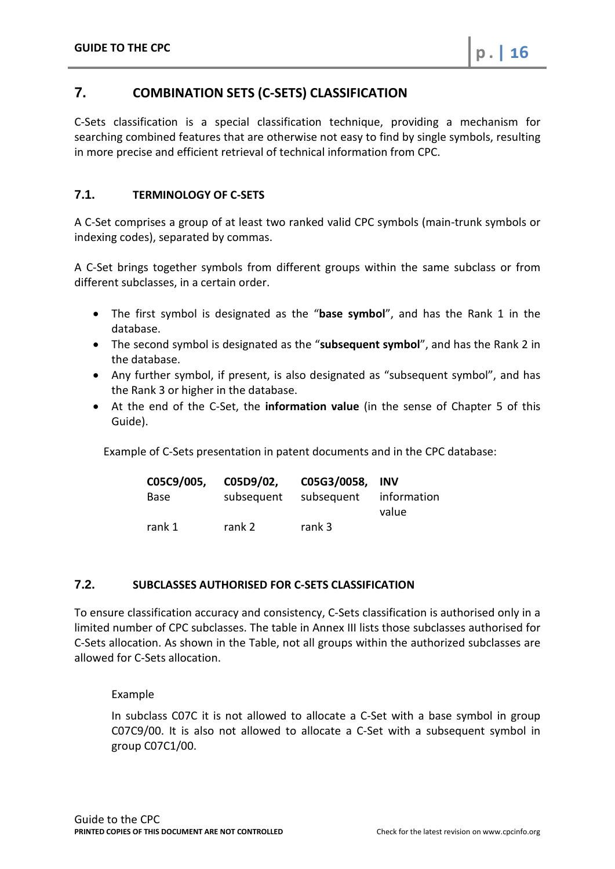# <span id="page-15-0"></span>**7. COMBINATION SETS (C-SETS) CLASSIFICATION**

C-Sets classification is a special classification technique, providing a mechanism for searching combined features that are otherwise not easy to find by single symbols, resulting in more precise and efficient retrieval of technical information from CPC.

# <span id="page-15-1"></span>**7.1. TERMINOLOGY OF C-SETS**

A C-Set comprises a group of at least two ranked valid CPC symbols (main-trunk symbols or indexing codes), separated by commas.

A C-Set brings together symbols from different groups within the same subclass or from different subclasses, in a certain order.

- The first symbol is designated as the "**base symbol**", and has the Rank 1 in the database.
- The second symbol is designated as the "**subsequent symbol**", and has the Rank 2 in the database.
- Any further symbol, if present, is also designated as "subsequent symbol", and has the Rank 3 or higher in the database.
- At the end of the C-Set, the **information value** (in the sense of Chapter 5 of this Guide).

Example of C-Sets presentation in patent documents and in the CPC database:

| C05C9/005, | C05D9/02,  | C05G3/0058, INV |             |
|------------|------------|-----------------|-------------|
| Base       | subsequent | subsequent      | information |
|            |            |                 | value       |
| rank 1     | rank 2     | rank 3          |             |

# <span id="page-15-2"></span>**7.2. SUBCLASSES AUTHORISED FOR C-SETS CLASSIFICATION**

To ensure classification accuracy and consistency, C-Sets classification is authorised only in a limited number of CPC subclasses. The table in Annex III lists those subclasses authorised for C-Sets allocation. As shown in the Table, not all groups within the authorized subclasses are allowed for C-Sets allocation.

Example

In subclass C07C it is not allowed to allocate a C-Set with a base symbol in group C07C9/00. It is also not allowed to allocate a C-Set with a subsequent symbol in group C07C1/00.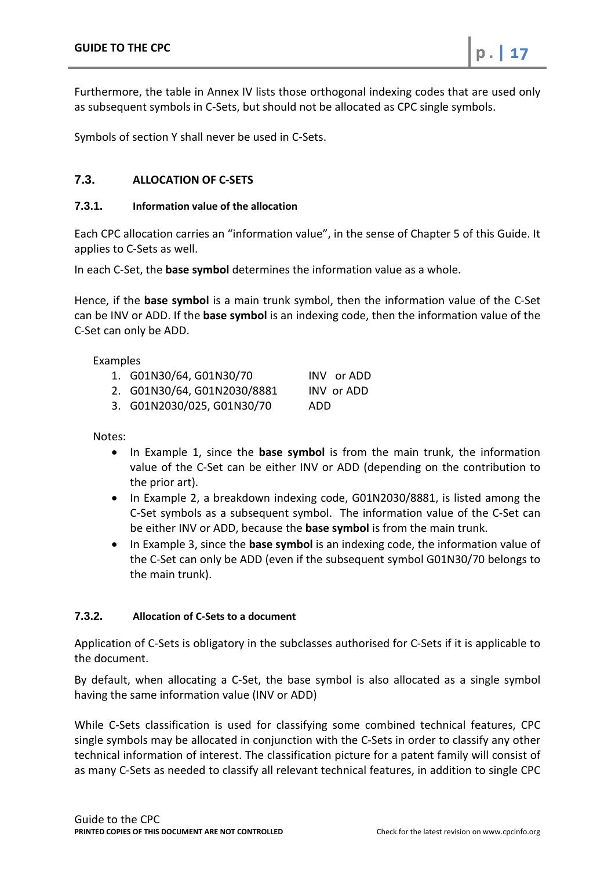Furthermore, the table in Annex IV lists those orthogonal indexing codes that are used only as subsequent symbols in C-Sets, but should not be allocated as CPC single symbols.

Symbols of section Y shall never be used in C-Sets.

# <span id="page-16-0"></span>**7.3. ALLOCATION OF C-SETS**

## <span id="page-16-1"></span>**7.3.1. Information value of the allocation**

Each CPC allocation carries an "information value", in the sense of Chapter 5 of this Guide. It applies to C-Sets as well.

In each C-Set, the **base symbol** determines the information value as a whole.

Hence, if the **base symbol** is a main trunk symbol, then the information value of the C-Set can be INV or ADD. If the **base symbol** is an indexing code, then the information value of the C-Set can only be ADD.

Examples

- 1. G01N30/64, G01N30/70 INV or ADD
- 2. G01N30/64, G01N2030/8881 INV or ADD
- 3. G01N2030/025, G01N30/70 ADD

Notes:

- In Example 1, since the **base symbol** is from the main trunk, the information value of the C-Set can be either INV or ADD (depending on the contribution to the prior art).
- In Example 2, a breakdown indexing code, G01N2030/8881, is listed among the C-Set symbols as a subsequent symbol. The information value of the C-Set can be either INV or ADD, because the **base symbol** is from the main trunk.
- In Example 3, since the **base symbol** is an indexing code, the information value of the C-Set can only be ADD (even if the subsequent symbol G01N30/70 belongs to the main trunk).

# <span id="page-16-2"></span>**7.3.2. Allocation of C-Sets to a document**

Application of C-Sets is obligatory in the subclasses authorised for C-Sets if it is applicable to the document.

By default, when allocating a C-Set, the base symbol is also allocated as a single symbol having the same information value (INV or ADD)

While C-Sets classification is used for classifying some combined technical features, CPC single symbols may be allocated in conjunction with the C-Sets in order to classify any other technical information of interest. The classification picture for a patent family will consist of as many C-Sets as needed to classify all relevant technical features, in addition to single CPC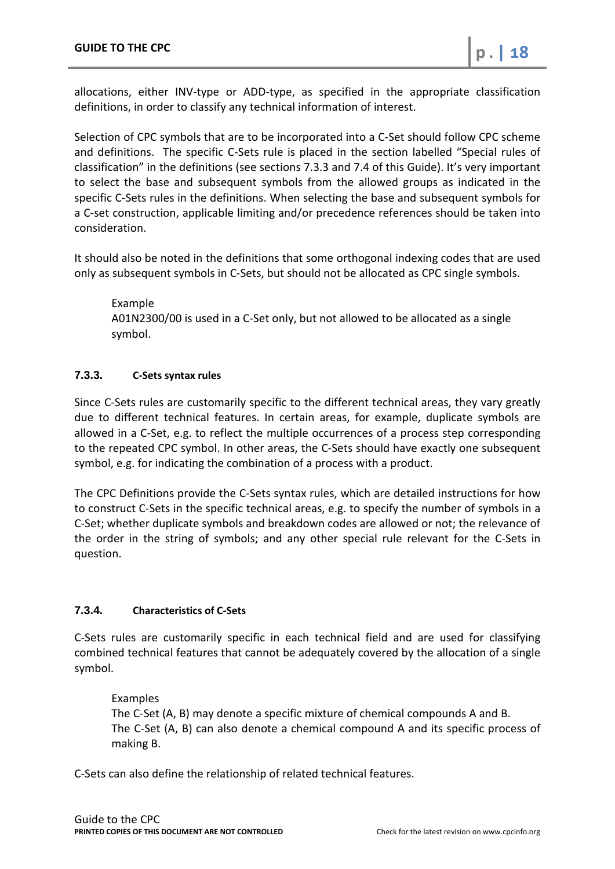allocations, either INV-type or ADD-type, as specified in the appropriate classification definitions, in order to classify any technical information of interest.

Selection of CPC symbols that are to be incorporated into a C-Set should follow CPC scheme and definitions. The specific C-Sets rule is placed in the section labelled "Special rules of classification" in the definitions (see sections 7.3.3 and 7.4 of this Guide). It's very important to select the base and subsequent symbols from the allowed groups as indicated in the specific C-Sets rules in the definitions. When selecting the base and subsequent symbols for a C-set construction, applicable limiting and/or precedence references should be taken into consideration.

It should also be noted in the definitions that some orthogonal indexing codes that are used only as subsequent symbols in C-Sets, but should not be allocated as CPC single symbols.

Example A01N2300/00 is used in a C-Set only, but not allowed to be allocated as a single symbol.

# <span id="page-17-0"></span>**7.3.3. C-Sets syntax rules**

Since C-Sets rules are customarily specific to the different technical areas, they vary greatly due to different technical features. In certain areas, for example, duplicate symbols are allowed in a C-Set, e.g. to reflect the multiple occurrences of a process step corresponding to the repeated CPC symbol. In other areas, the C-Sets should have exactly one subsequent symbol, e.g. for indicating the combination of a process with a product.

The CPC Definitions provide the C-Sets syntax rules, which are detailed instructions for how to construct C-Sets in the specific technical areas, e.g. to specify the number of symbols in a C-Set; whether duplicate symbols and breakdown codes are allowed or not; the relevance of the order in the string of symbols; and any other special rule relevant for the C-Sets in question.

# <span id="page-17-1"></span>**7.3.4. Characteristics of C-Sets**

C-Sets rules are customarily specific in each technical field and are used for classifying combined technical features that cannot be adequately covered by the allocation of a single symbol.

# Examples

The C-Set (A, B) may denote a specific mixture of chemical compounds A and B. The C-Set (A, B) can also denote a chemical compound A and its specific process of making B.

C-Sets can also define the relationship of related technical features.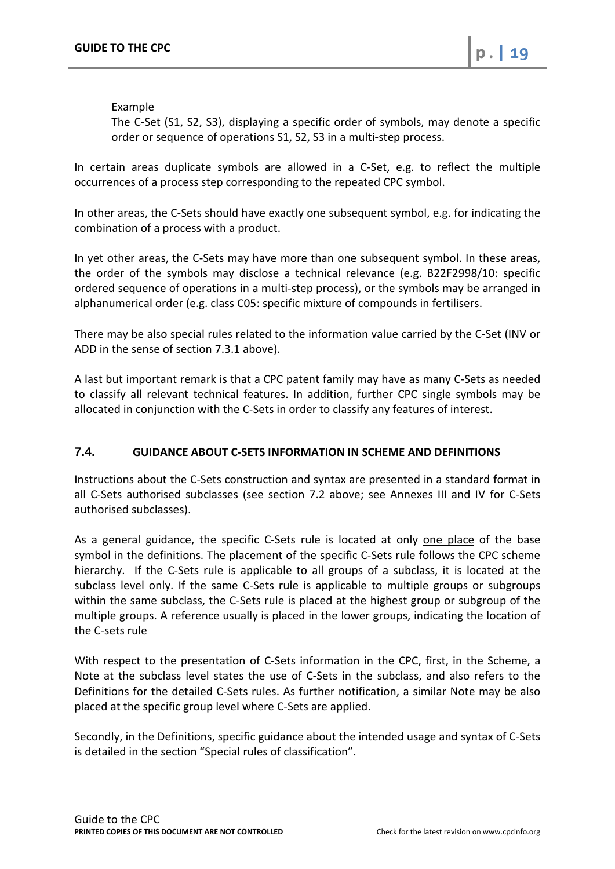## Example

The C-Set (S1, S2, S3), displaying a specific order of symbols, may denote a specific order or sequence of operations S1, S2, S3 in a multi-step process.

In certain areas duplicate symbols are allowed in a C-Set, e.g. to reflect the multiple occurrences of a process step corresponding to the repeated CPC symbol.

In other areas, the C-Sets should have exactly one subsequent symbol, e.g. for indicating the combination of a process with a product.

In yet other areas, the C-Sets may have more than one subsequent symbol. In these areas, the order of the symbols may disclose a technical relevance (e.g. B22F2998/10: specific ordered sequence of operations in a multi-step process), or the symbols may be arranged in alphanumerical order (e.g. class C05: specific mixture of compounds in fertilisers.

There may be also special rules related to the information value carried by the C-Set (INV or ADD in the sense of section 7.3.1 above).

A last but important remark is that a CPC patent family may have as many C-Sets as needed to classify all relevant technical features. In addition, further CPC single symbols may be allocated in conjunction with the C-Sets in order to classify any features of interest.

# <span id="page-18-0"></span>**7.4. GUIDANCE ABOUT C-SETS INFORMATION IN SCHEME AND DEFINITIONS**

Instructions about the C-Sets construction and syntax are presented in a standard format in all C-Sets authorised subclasses (see section 7.2 above; see Annexes III and IV for C-Sets authorised subclasses).

As a general guidance, the specific C-Sets rule is located at only one place of the base symbol in the definitions. The placement of the specific C-Sets rule follows the CPC scheme hierarchy. If the C-Sets rule is applicable to all groups of a subclass, it is located at the subclass level only. If the same C-Sets rule is applicable to multiple groups or subgroups within the same subclass, the C-Sets rule is placed at the highest group or subgroup of the multiple groups. A reference usually is placed in the lower groups, indicating the location of the C-sets rule

With respect to the presentation of C-Sets information in the CPC, first, in the Scheme, a Note at the subclass level states the use of C-Sets in the subclass, and also refers to the Definitions for the detailed C-Sets rules. As further notification, a similar Note may be also placed at the specific group level where C-Sets are applied.

Secondly, in the Definitions, specific guidance about the intended usage and syntax of C-Sets is detailed in the section "Special rules of classification".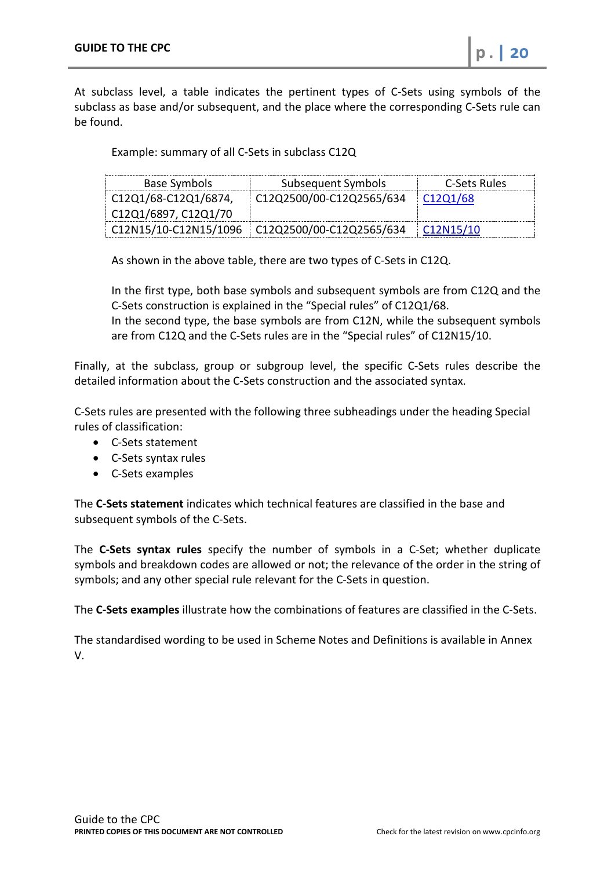At subclass level, a table indicates the pertinent types of C-Sets using symbols of the subclass as base and/or subsequent, and the place where the corresponding C-Sets rule can be found.

Example: summary of all C-Sets in subclass C12Q

| Base Symbols        | Subsequent Symbols                                             | C-Sets Rules                       |
|---------------------|----------------------------------------------------------------|------------------------------------|
| $CO1/68-C12Q1/6874$ | C12Q2500/00-C12Q2565/634                                       | C <sub>12</sub> Q <sub>1</sub> /68 |
| CO1/6897, C12Q1/70  |                                                                |                                    |
|                     | $\vert$ C12N15/10-C12N15/1096 $\vert$ C12Q2500/00-C12Q2565/634 | C12N15/10                          |

As shown in the above table, there are two types of C-Sets in C12Q.

In the first type, both base symbols and subsequent symbols are from C12Q and the C-Sets construction is explained in the "Special rules" of C12Q1/68.

In the second type, the base symbols are from C12N, while the subsequent symbols are from C12Q and the C-Sets rules are in the "Special rules" of C12N15/10.

Finally, at the subclass, group or subgroup level, the specific C-Sets rules describe the detailed information about the C-Sets construction and the associated syntax.

C-Sets rules are presented with the following three subheadings under the heading Special rules of classification:

- C-Sets statement
- C-Sets syntax rules
- C-Sets examples

The **C-Sets statement** indicates which technical features are classified in the base and subsequent symbols of the C-Sets.

The **C-Sets syntax rules** specify the number of symbols in a C-Set; whether duplicate symbols and breakdown codes are allowed or not; the relevance of the order in the string of symbols; and any other special rule relevant for the C-Sets in question.

The **C-Sets examples** illustrate how the combinations of features are classified in the C-Sets.

The standardised wording to be used in Scheme Notes and Definitions is available in Annex V.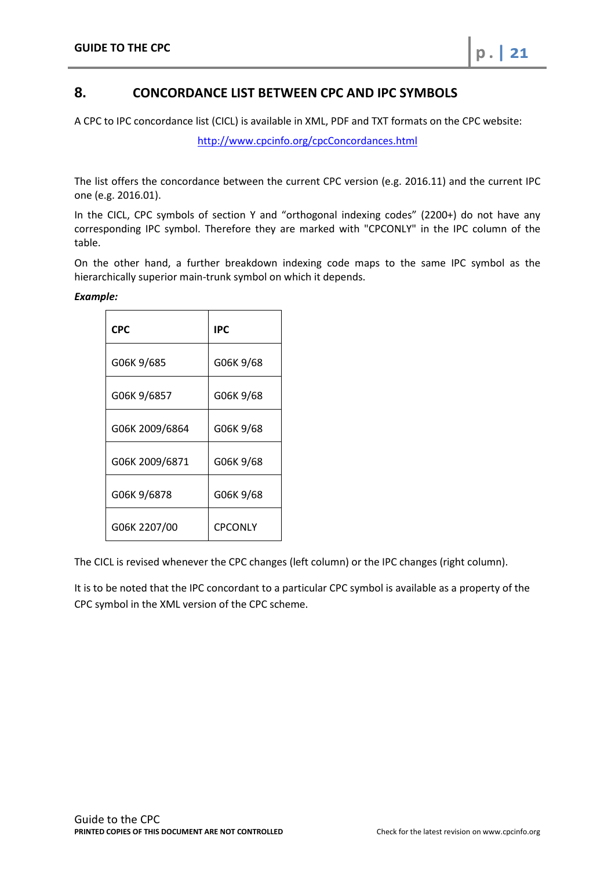# <span id="page-20-0"></span>**8. CONCORDANCE LIST BETWEEN CPC AND IPC SYMBOLS**

A CPC to IPC concordance list (CICL) is available in XML, PDF and TXT formats on the CPC website:

<http://www.cpcinfo.org/cpcConcordances.html>

The list offers the concordance between the current CPC version (e.g. 2016.11) and the current IPC one (e.g. 2016.01).

In the CICL, CPC symbols of section Y and "orthogonal indexing codes" (2200+) do not have any corresponding IPC symbol. Therefore they are marked with "CPCONLY" in the IPC column of the table.

On the other hand, a further breakdown indexing code maps to the same IPC symbol as the hierarchically superior main-trunk symbol on which it depends.

#### *Example:*

| <b>CPC</b>     | <b>IPC</b>     |
|----------------|----------------|
| G06K 9/685     | G06K 9/68      |
| G06K 9/6857    | G06K 9/68      |
| G06K 2009/6864 | G06K 9/68      |
| G06K 2009/6871 | G06K 9/68      |
| G06K 9/6878    | G06K 9/68      |
| G06K 2207/00   | <b>CPCONLY</b> |

The CICL is revised whenever the CPC changes (left column) or the IPC changes (right column).

It is to be noted that the IPC concordant to a particular CPC symbol is available as a property of the CPC symbol in the XML version of the CPC scheme.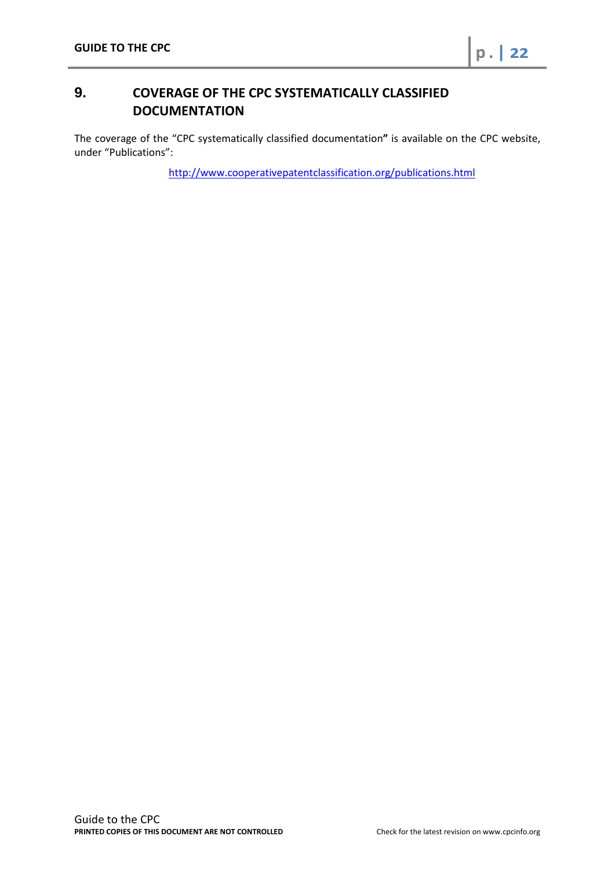# <span id="page-21-0"></span>**9. COVERAGE OF THE CPC SYSTEMATICALLY CLASSIFIED DOCUMENTATION**

The coverage of the "CPC systematically classified documentation**"** is available on the CPC website, under "Publications":

<http://www.cooperativepatentclassification.org/publications.html>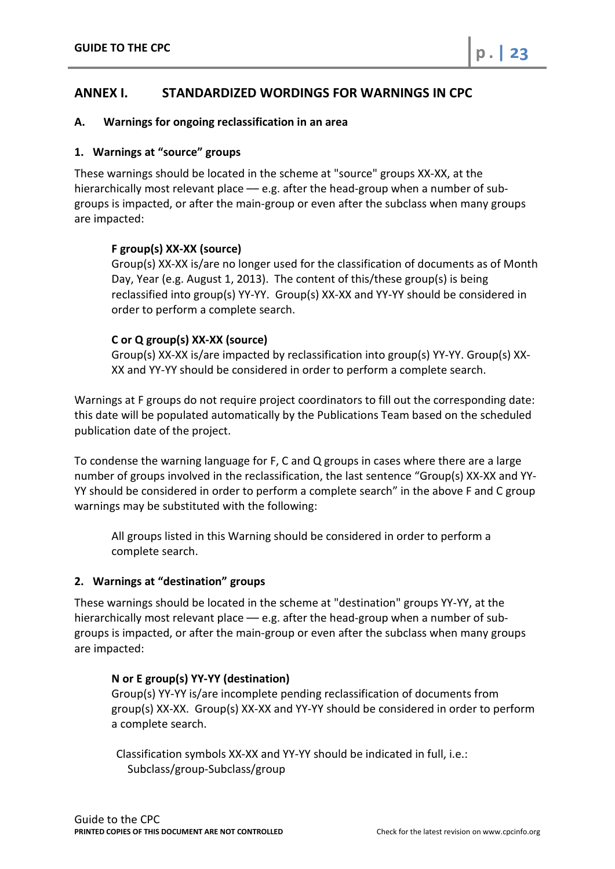# <span id="page-22-0"></span>**ANNEX I. STANDARDIZED WORDINGS FOR WARNINGS IN CPC**

## **A. Warnings for ongoing reclassification in an area**

#### **1. Warnings at "source" groups**

These warnings should be located in the scheme at "source" groups XX-XX, at the hierarchically most relevant place - e.g. after the head-group when a number of subgroups is impacted, or after the main-group or even after the subclass when many groups are impacted:

## **F group(s) XX-XX (source)**

Group(s) XX-XX is/are no longer used for the classification of documents as of Month Day, Year (e.g. August 1, 2013). The content of this/these group(s) is being reclassified into group(s) YY-YY. Group(s) XX-XX and YY-YY should be considered in order to perform a complete search.

## **C or Q group(s) XX-XX (source)**

Group(s) XX-XX is/are impacted by reclassification into group(s) YY-YY. Group(s) XX-XX and YY-YY should be considered in order to perform a complete search.

Warnings at F groups do not require project coordinators to fill out the corresponding date: this date will be populated automatically by the Publications Team based on the scheduled publication date of the project.

To condense the warning language for F, C and Q groups in cases where there are a large number of groups involved in the reclassification, the last sentence "Group(s) XX-XX and YY-YY should be considered in order to perform a complete search" in the above F and C group warnings may be substituted with the following:

All groups listed in this Warning should be considered in order to perform a complete search.

# **2. Warnings at "destination" groups**

These warnings should be located in the scheme at "destination" groups YY-YY, at the hierarchically most relevant place - e.g. after the head-group when a number of subgroups is impacted, or after the main-group or even after the subclass when many groups are impacted:

#### **N or E group(s) YY-YY (destination)**

Group(s) YY-YY is/are incomplete pending reclassification of documents from group(s) XX-XX. Group(s) XX-XX and YY-YY should be considered in order to perform a complete search.

Classification symbols XX-XX and YY-YY should be indicated in full, i.e.: Subclass/group-Subclass/group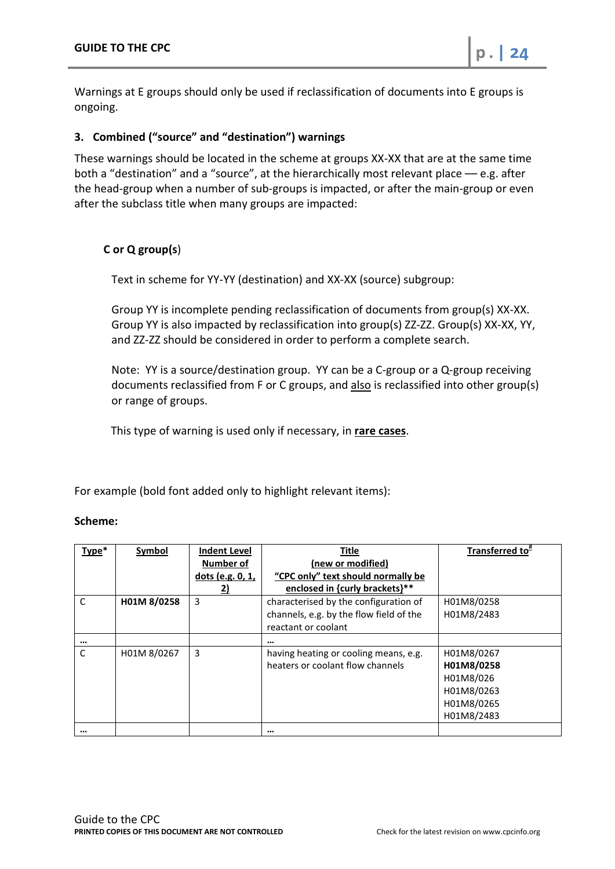Warnings at E groups should only be used if reclassification of documents into E groups is ongoing.

# **3. Combined ("source" and "destination") warnings**

These warnings should be located in the scheme at groups XX-XX that are at the same time both a "destination" and a "source", at the hierarchically most relevant place –– e.g. after the head-group when a number of sub-groups is impacted, or after the main-group or even after the subclass title when many groups are impacted:

# **C or Q group(s**)

Text in scheme for YY-YY (destination) and XX-XX (source) subgroup:

Group YY is incomplete pending reclassification of documents from group(s) XX-XX. Group YY is also impacted by reclassification into group(s) ZZ-ZZ. Group(s) XX-XX, YY, and ZZ-ZZ should be considered in order to perform a complete search.

Note: YY is a source/destination group. YY can be a C-group or a Q-group receiving documents reclassified from F or C groups, and also is reclassified into other group(s) or range of groups.

This type of warning is used only if necessary, in **rare cases**.

For example (bold font added only to highlight relevant items):

# **Scheme:**

| Type*    | Symbol      | <b>Indent Level</b><br>Number of | <b>Title</b><br>(new or modified)       | Transferred to <sup>#</sup> |
|----------|-------------|----------------------------------|-----------------------------------------|-----------------------------|
|          |             | dots (e.g. 0, 1,                 | "CPC only" text should normally be      |                             |
|          |             | 2)                               | enclosed in {curly brackets}**          |                             |
| C        | H01M 8/0258 | 3                                | characterised by the configuration of   | H01M8/0258                  |
|          |             |                                  | channels, e.g. by the flow field of the | H01M8/2483                  |
|          |             |                                  | reactant or coolant                     |                             |
| $\cdots$ |             |                                  |                                         |                             |
| C        | H01M 8/0267 | 3                                | having heating or cooling means, e.g.   | H01M8/0267                  |
|          |             |                                  | heaters or coolant flow channels        | H01M8/0258                  |
|          |             |                                  |                                         | H01M8/026                   |
|          |             |                                  |                                         | H01M8/0263                  |
|          |             |                                  |                                         | H01M8/0265                  |
|          |             |                                  |                                         | H01M8/2483                  |
| $\cdots$ |             |                                  | $\cdots$                                |                             |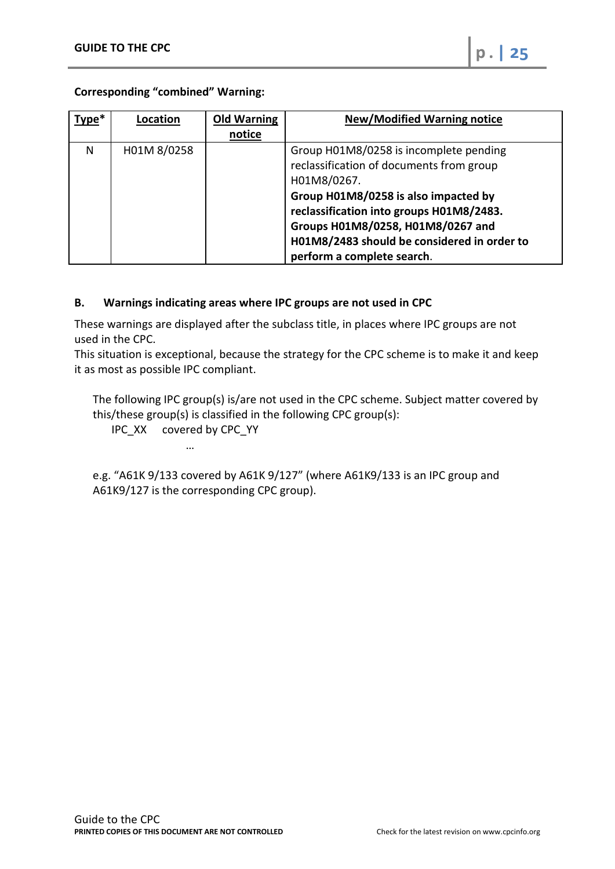**Corresponding "combined" Warning:**

| Type* | Location    | <b>Old Warning</b> | <b>New/Modified Warning notice</b>          |
|-------|-------------|--------------------|---------------------------------------------|
|       |             | notice             |                                             |
| N     | H01M 8/0258 |                    | Group H01M8/0258 is incomplete pending      |
|       |             |                    | reclassification of documents from group    |
|       |             |                    | H01M8/0267.                                 |
|       |             |                    | Group H01M8/0258 is also impacted by        |
|       |             |                    | reclassification into groups H01M8/2483.    |
|       |             |                    | Groups H01M8/0258, H01M8/0267 and           |
|       |             |                    | H01M8/2483 should be considered in order to |
|       |             |                    | perform a complete search.                  |

# **B. Warnings indicating areas where IPC groups are not used in CPC**

These warnings are displayed after the subclass title, in places where IPC groups are not used in the CPC.

This situation is exceptional, because the strategy for the CPC scheme is to make it and keep it as most as possible IPC compliant.

The following IPC group(s) is/are not used in the CPC scheme. Subject matter covered by this/these group(s) is classified in the following CPC group(s):

IPC\_XX covered by CPC\_YY …

e.g. "A61K 9/133 covered by A61K 9/127" (where A61K9/133 is an IPC group and A61K9/127 is the corresponding CPC group).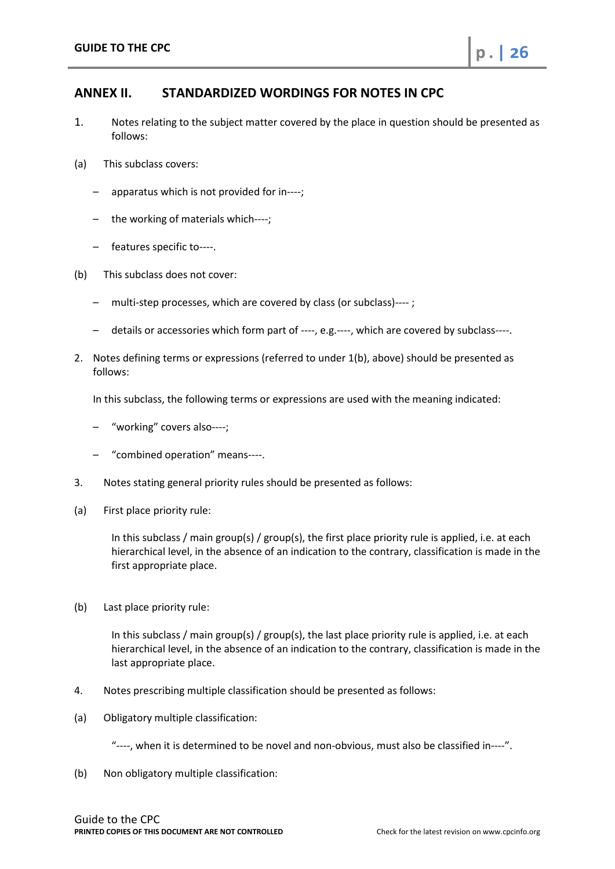# <span id="page-25-0"></span>**ANNEX II. STANDARDIZED WORDINGS FOR NOTES IN CPC**

- 1. Notes relating to the subject matter covered by the place in question should be presented as follows:
- (a) This subclass covers:
	- apparatus which is not provided for in----;
	- the working of materials which----;
	- features specific to----.
- (b) This subclass does not cover:
	- multi-step processes, which are covered by class (or subclass)---- ;
	- details or accessories which form part of ----, e.g.----, which are covered by subclass----.
- 2. Notes defining terms or expressions (referred to under 1(b), above) should be presented as follows:

In this subclass, the following terms or expressions are used with the meaning indicated:

- "working" covers also----;
- "combined operation" means----.
- 3. Notes stating general priority rules should be presented as follows:
- (a) First place priority rule:

In this subclass / main group(s) / group(s), the first place priority rule is applied, i.e. at each hierarchical level, in the absence of an indication to the contrary, classification is made in the first appropriate place.

(b) Last place priority rule:

In this subclass / main group(s) / group(s), the last place priority rule is applied, i.e. at each hierarchical level, in the absence of an indication to the contrary, classification is made in the last appropriate place.

- 4. Notes prescribing multiple classification should be presented as follows:
- (a) Obligatory multiple classification:

"----, when it is determined to be novel and non-obvious, must also be classified in----".

(b) Non obligatory multiple classification: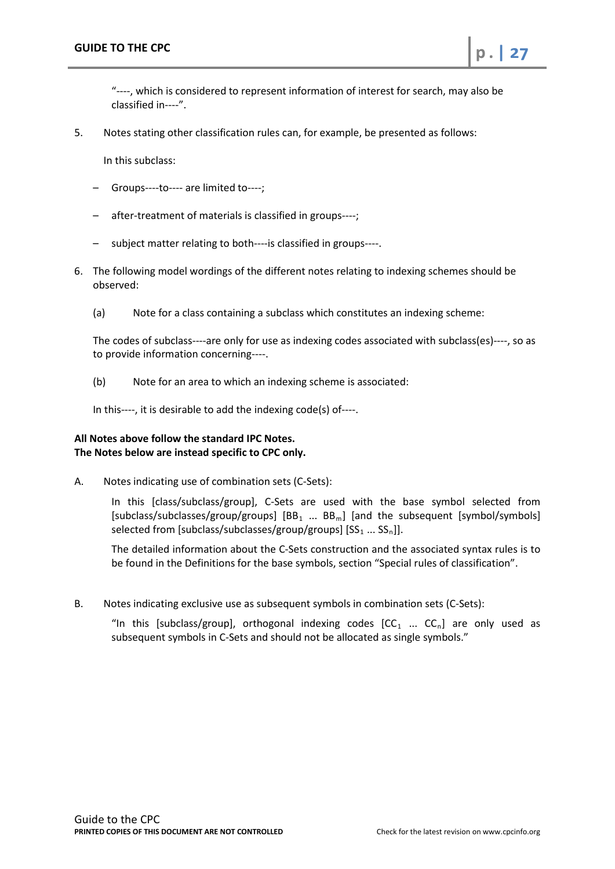"----, which is considered to represent information of interest for search, may also be classified in----".

5. Notes stating other classification rules can, for example, be presented as follows:

In this subclass:

- Groups----to---- are limited to----;
- after-treatment of materials is classified in groups----;
- subject matter relating to both----is classified in groups----.
- 6. The following model wordings of the different notes relating to indexing schemes should be observed:
	- (a) Note for a class containing a subclass which constitutes an indexing scheme:

The codes of subclass----are only for use as indexing codes associated with subclass(es)----, so as to provide information concerning----.

(b) Note for an area to which an indexing scheme is associated:

In this----, it is desirable to add the indexing code(s) of----.

## **All Notes above follow the standard IPC Notes. The Notes below are instead specific to CPC only.**

A. Notes indicating use of combination sets (C-Sets):

In this [class/subclass/group], C-Sets are used with the base symbol selected from [subclass/subclasses/group/groups]  $[BB_1 \dots BB_m]$  [and the subsequent [symbol/symbols] selected from [subclass/subclasses/group/groups]  $[SS_1 ... SS_n]$ ].

The detailed information about the C-Sets construction and the associated syntax rules is to be found in the Definitions for the base symbols, section "Special rules of classification".

B. Notes indicating exclusive use as subsequent symbols in combination sets (C-Sets):

"In this [subclass/group], orthogonal indexing codes  $[CC_1 \dots CC_n]$  are only used as subsequent symbols in C-Sets and should not be allocated as single symbols."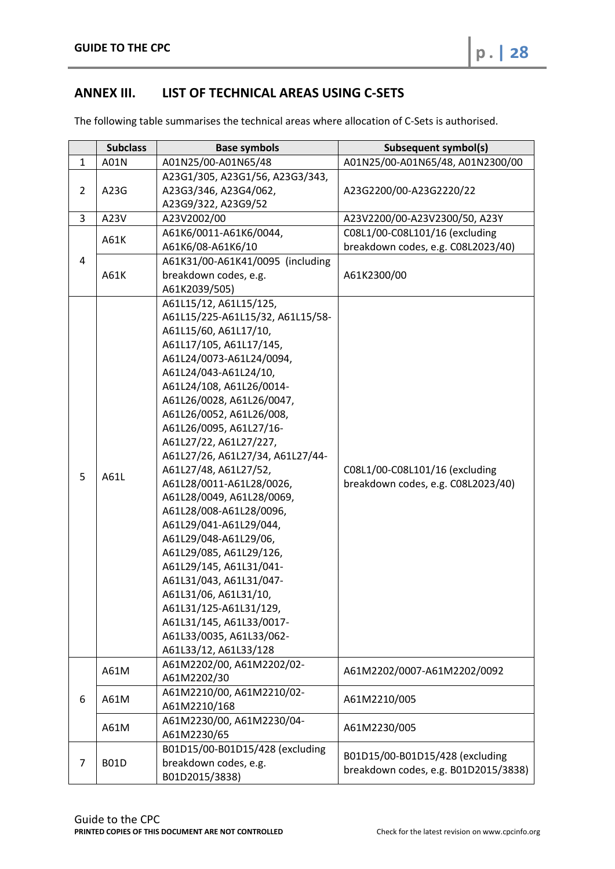# <span id="page-27-0"></span>**ANNEX III. LIST OF TECHNICAL AREAS USING C-SETS**

The following table summarises the technical areas where allocation of C-Sets is authorised.

|                | <b>Subclass</b> | <b>Base symbols</b>                                                                                                                                                                                                                                                                                                                                                                                                                                                                                                                                                                                                                                                                                                                    | <b>Subsequent symbol(s)</b>                                             |
|----------------|-----------------|----------------------------------------------------------------------------------------------------------------------------------------------------------------------------------------------------------------------------------------------------------------------------------------------------------------------------------------------------------------------------------------------------------------------------------------------------------------------------------------------------------------------------------------------------------------------------------------------------------------------------------------------------------------------------------------------------------------------------------------|-------------------------------------------------------------------------|
| $\mathbf{1}$   | A01N            | A01N25/00-A01N65/48                                                                                                                                                                                                                                                                                                                                                                                                                                                                                                                                                                                                                                                                                                                    | A01N25/00-A01N65/48, A01N2300/00                                        |
| $\overline{2}$ | A23G            | A23G1/305, A23G1/56, A23G3/343,<br>A23G3/346, A23G4/062,<br>A23G9/322, A23G9/52                                                                                                                                                                                                                                                                                                                                                                                                                                                                                                                                                                                                                                                        | A23G2200/00-A23G2220/22                                                 |
| 3              | A23V            | A23V2002/00                                                                                                                                                                                                                                                                                                                                                                                                                                                                                                                                                                                                                                                                                                                            | A23V2200/00-A23V2300/50, A23Y                                           |
|                | A61K            | A61K6/0011-A61K6/0044,                                                                                                                                                                                                                                                                                                                                                                                                                                                                                                                                                                                                                                                                                                                 | C08L1/00-C08L101/16 (excluding                                          |
| 4              |                 | A61K6/08-A61K6/10<br>A61K31/00-A61K41/0095 (including                                                                                                                                                                                                                                                                                                                                                                                                                                                                                                                                                                                                                                                                                  | breakdown codes, e.g. C08L2023/40)                                      |
|                | A61K            | breakdown codes, e.g.<br>A61K2039/505)                                                                                                                                                                                                                                                                                                                                                                                                                                                                                                                                                                                                                                                                                                 | A61K2300/00                                                             |
| 5              | A61L            | A61L15/12, A61L15/125,<br>A61L15/225-A61L15/32, A61L15/58-<br>A61L15/60, A61L17/10,<br>A61L17/105, A61L17/145,<br>A61L24/0073-A61L24/0094,<br>A61L24/043-A61L24/10,<br>A61L24/108, A61L26/0014-<br>A61L26/0028, A61L26/0047,<br>A61L26/0052, A61L26/008,<br>A61L26/0095, A61L27/16-<br>A61L27/22, A61L27/227,<br>A61L27/26, A61L27/34, A61L27/44-<br>A61L27/48, A61L27/52,<br>A61L28/0011-A61L28/0026,<br>A61L28/0049, A61L28/0069,<br>A61L28/008-A61L28/0096,<br>A61L29/041-A61L29/044,<br>A61L29/048-A61L29/06,<br>A61L29/085, A61L29/126,<br>A61L29/145, A61L31/041-<br>A61L31/043, A61L31/047-<br>A61L31/06, A61L31/10,<br>A61L31/125-A61L31/129,<br>A61L31/145, A61L33/0017-<br>A61L33/0035, A61L33/062-<br>A61L33/12, A61L33/128 | C08L1/00-C08L101/16 (excluding<br>breakdown codes, e.g. C08L2023/40)    |
|                | A61M            | A61M2202/00, A61M2202/02-<br>A61M2202/30                                                                                                                                                                                                                                                                                                                                                                                                                                                                                                                                                                                                                                                                                               | A61M2202/0007-A61M2202/0092                                             |
| 6              | A61M            | A61M2210/00, A61M2210/02-<br>A61M2210/168                                                                                                                                                                                                                                                                                                                                                                                                                                                                                                                                                                                                                                                                                              | A61M2210/005                                                            |
|                | A61M            | A61M2230/00, A61M2230/04-<br>A61M2230/65                                                                                                                                                                                                                                                                                                                                                                                                                                                                                                                                                                                                                                                                                               | A61M2230/005                                                            |
| 7              | <b>B01D</b>     | B01D15/00-B01D15/428 (excluding<br>breakdown codes, e.g.<br>B01D2015/3838)                                                                                                                                                                                                                                                                                                                                                                                                                                                                                                                                                                                                                                                             | B01D15/00-B01D15/428 (excluding<br>breakdown codes, e.g. B01D2015/3838) |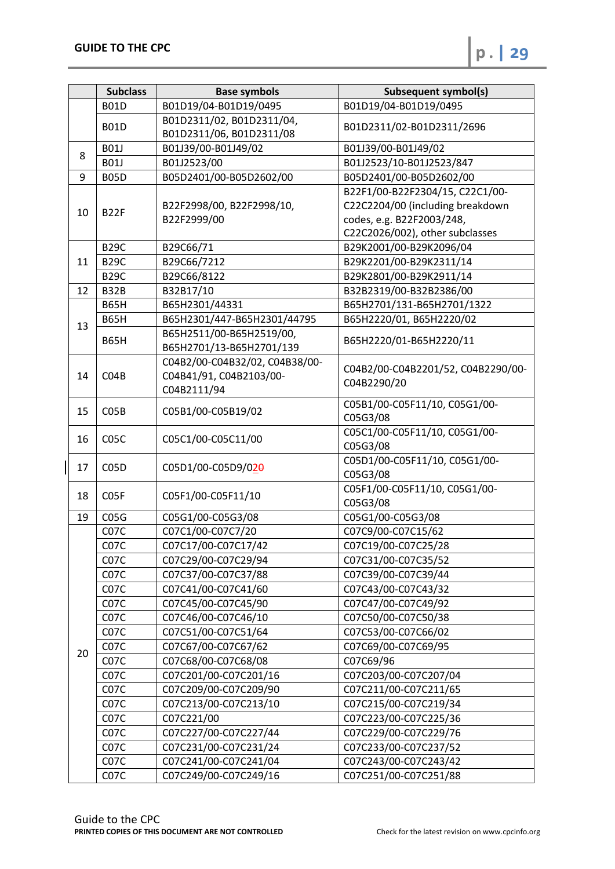|    | <b>Subclass</b>   | <b>Base symbols</b>                                                      | <b>Subsequent symbol(s)</b>                       |  |
|----|-------------------|--------------------------------------------------------------------------|---------------------------------------------------|--|
|    | <b>B01D</b>       | B01D19/04-B01D19/0495                                                    | B01D19/04-B01D19/0495                             |  |
|    | <b>B01D</b>       | B01D2311/02, B01D2311/04,<br>B01D2311/06, B01D2311/08                    | B01D2311/02-B01D2311/2696                         |  |
|    | <b>B01J</b>       | B01J39/00-B01J49/02                                                      | B01J39/00-B01J49/02                               |  |
| 8  | <b>B01J</b>       | B01J2523/00                                                              | B01J2523/10-B01J2523/847                          |  |
| 9  | <b>B05D</b>       | B05D2401/00-B05D2602/00                                                  | B05D2401/00-B05D2602/00                           |  |
|    |                   |                                                                          | B22F1/00-B22F2304/15, C22C1/00-                   |  |
| 10 |                   | B22F2998/00, B22F2998/10,                                                | C22C2204/00 (including breakdown                  |  |
|    | B <sub>22F</sub>  | B22F2999/00                                                              | codes, e.g. B22F2003/248,                         |  |
|    |                   |                                                                          | C22C2026/002), other subclasses                   |  |
|    | <b>B29C</b>       | B29C66/71                                                                | B29K2001/00-B29K2096/04                           |  |
| 11 | <b>B29C</b>       | B29C66/7212                                                              | B29K2201/00-B29K2311/14                           |  |
|    | <b>B29C</b>       | B29C66/8122                                                              | B29K2801/00-B29K2911/14                           |  |
| 12 | B32B              | B32B17/10                                                                | B32B2319/00-B32B2386/00                           |  |
|    | <b>B65H</b>       | B65H2301/44331                                                           | B65H2701/131-B65H2701/1322                        |  |
| 13 | <b>B65H</b>       | B65H2301/447-B65H2301/44795                                              | B65H2220/01, B65H2220/02                          |  |
|    | <b>B65H</b>       | B65H2511/00-B65H2519/00,<br>B65H2701/13-B65H2701/139                     | B65H2220/01-B65H2220/11                           |  |
| 14 | CO4B              | C04B2/00-C04B32/02, C04B38/00-<br>C04B41/91, C04B2103/00-<br>C04B2111/94 | C04B2/00-C04B2201/52, C04B2290/00-<br>C04B2290/20 |  |
| 15 | CO5B              | C05B1/00-C05B19/02                                                       | C05B1/00-C05F11/10, C05G1/00-<br>C05G3/08         |  |
| 16 | C05C              | C05C1/00-C05C11/00                                                       | C05C1/00-C05F11/10, C05G1/00-<br>C05G3/08         |  |
| 17 | C <sub>05</sub> D | C05D1/00-C05D9/020                                                       | C05D1/00-C05F11/10, C05G1/00-<br>C05G3/08         |  |
| 18 | C <sub>05</sub> F | C05F1/00-C05F11/10                                                       | C05F1/00-C05F11/10, C05G1/00-<br>C05G3/08         |  |
| 19 | CO5G              | C05G1/00-C05G3/08                                                        | C05G1/00-C05G3/08                                 |  |
|    | C <sub>07</sub> C | C07C1/00-C07C7/20                                                        | C07C9/00-C07C15/62                                |  |
|    | C <sub>07</sub> C | C07C17/00-C07C17/42                                                      | C07C19/00-C07C25/28                               |  |
|    | C <sub>07</sub> C | C07C29/00-C07C29/94                                                      | C07C31/00-C07C35/52                               |  |
|    | C <sub>07</sub> C | C07C37/00-C07C37/88                                                      | C07C39/00-C07C39/44                               |  |
|    | C <sub>07</sub> C | C07C41/00-C07C41/60                                                      | C07C43/00-C07C43/32                               |  |
|    | C <sub>07</sub> C | C07C45/00-C07C45/90                                                      | C07C47/00-C07C49/92                               |  |
|    | C <sub>07</sub> C | C07C46/00-C07C46/10                                                      | C07C50/00-C07C50/38                               |  |
|    | C <sub>07</sub> C | C07C51/00-C07C51/64                                                      | C07C53/00-C07C66/02                               |  |
| 20 | C <sub>07</sub> C | C07C67/00-C07C67/62                                                      | C07C69/00-C07C69/95                               |  |
|    | C <sub>07</sub> C | C07C68/00-C07C68/08                                                      | C07C69/96                                         |  |
|    | C <sub>07</sub> C | C07C201/00-C07C201/16                                                    | C07C203/00-C07C207/04                             |  |
|    | C <sub>07</sub> C | C07C209/00-C07C209/90                                                    | C07C211/00-C07C211/65                             |  |
|    | C <sub>07</sub> C | C07C213/00-C07C213/10                                                    | C07C215/00-C07C219/34                             |  |
|    | C <sub>07</sub> C | C07C221/00                                                               | C07C223/00-C07C225/36                             |  |
|    | C <sub>07</sub> C | C07C227/00-C07C227/44                                                    | C07C229/00-C07C229/76                             |  |
|    | C <sub>07</sub> C | C07C231/00-C07C231/24                                                    | C07C233/00-C07C237/52                             |  |
|    | C <sub>07</sub> C | C07C241/00-C07C241/04                                                    | C07C243/00-C07C243/42                             |  |
|    | C <sub>07</sub> C | C07C249/00-C07C249/16                                                    | C07C251/00-C07C251/88                             |  |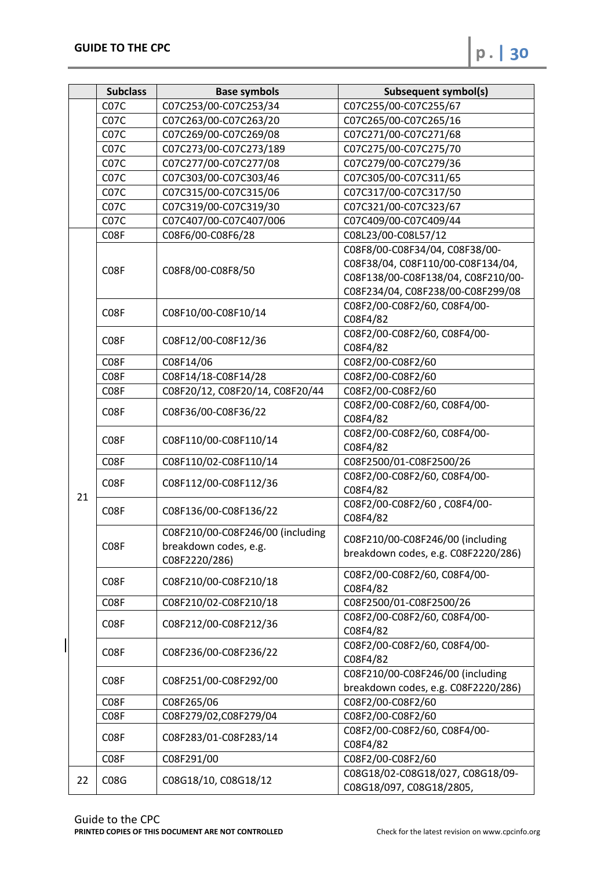|    | <b>Subclass</b>   | <b>Base symbols</b>                                       | <b>Subsequent symbol(s)</b>         |
|----|-------------------|-----------------------------------------------------------|-------------------------------------|
|    | C <sub>07</sub> C | C07C253/00-C07C253/34                                     | C07C255/00-C07C255/67               |
|    | C <sub>07</sub> C | C07C263/00-C07C263/20                                     | C07C265/00-C07C265/16               |
|    | C <sub>07</sub> C | C07C269/00-C07C269/08                                     | C07C271/00-C07C271/68               |
|    | C <sub>07</sub> C | C07C273/00-C07C273/189                                    | C07C275/00-C07C275/70               |
|    | C <sub>07</sub> C | C07C277/00-C07C277/08                                     | C07C279/00-C07C279/36               |
|    | C <sub>07</sub> C | C07C303/00-C07C303/46                                     | C07C305/00-C07C311/65               |
|    | C <sub>07</sub> C | C07C315/00-C07C315/06                                     | C07C317/00-C07C317/50               |
|    | C <sub>07</sub> C | C07C319/00-C07C319/30                                     | C07C321/00-C07C323/67               |
|    | C <sub>07</sub> C | C07C407/00-C07C407/006                                    | C07C409/00-C07C409/44               |
|    | C <sub>0</sub> 8F | C08F6/00-C08F6/28                                         | C08L23/00-C08L57/12                 |
|    |                   |                                                           | C08F8/00-C08F34/04, C08F38/00-      |
|    |                   |                                                           | C08F38/04, C08F110/00-C08F134/04,   |
|    | C <sub>0</sub> 8F | C08F8/00-C08F8/50                                         | C08F138/00-C08F138/04, C08F210/00-  |
|    |                   |                                                           | C08F234/04, C08F238/00-C08F299/08   |
|    |                   |                                                           | C08F2/00-C08F2/60, C08F4/00-        |
|    | C <sub>0</sub> 8F | C08F10/00-C08F10/14                                       | C08F4/82                            |
|    |                   |                                                           | C08F2/00-C08F2/60, C08F4/00-        |
|    | C <sub>0</sub> 8F | C08F12/00-C08F12/36                                       | C08F4/82                            |
|    | C <sub>0</sub> 8F | C08F14/06                                                 | C08F2/00-C08F2/60                   |
|    | C <sub>0</sub> 8F | C08F14/18-C08F14/28                                       | C08F2/00-C08F2/60                   |
|    | C <sub>0</sub> 8F | C08F20/12, C08F20/14, C08F20/44                           | C08F2/00-C08F2/60                   |
|    |                   |                                                           | C08F2/00-C08F2/60, C08F4/00-        |
|    | C <sub>0</sub> 8F | C08F36/00-C08F36/22                                       | C08F4/82                            |
|    | C <sub>0</sub> 8F |                                                           | C08F2/00-C08F2/60, C08F4/00-        |
|    |                   | C08F110/00-C08F110/14                                     | C08F4/82                            |
|    | C <sub>0</sub> 8F | C08F110/02-C08F110/14                                     | C08F2500/01-C08F2500/26             |
|    | C <sub>0</sub> 8F | C08F112/00-C08F112/36                                     | C08F2/00-C08F2/60, C08F4/00-        |
| 21 |                   |                                                           | C08F4/82                            |
|    | C <sub>0</sub> 8F | C08F136/00-C08F136/22                                     | C08F2/00-C08F2/60, C08F4/00-        |
|    |                   |                                                           | C08F4/82                            |
|    | C08F              | C08F210/00-C08F246/00 (including<br>breakdown codes, e.g. | C08F210/00-C08F246/00 (including    |
|    |                   |                                                           | breakdown codes, e.g. C08F2220/286) |
|    |                   | C08F2220/286)                                             |                                     |
|    | C <sub>0</sub> 8F | C08F210/00-C08F210/18                                     | C08F2/00-C08F2/60, C08F4/00-        |
|    |                   |                                                           | C08F4/82                            |
|    | C <sub>0</sub> 8F | C08F210/02-C08F210/18                                     | C08F2500/01-C08F2500/26             |
|    | C <sub>0</sub> 8F | C08F212/00-C08F212/36                                     | C08F2/00-C08F2/60, C08F4/00-        |
|    |                   |                                                           | C08F4/82                            |
|    | C <sub>0</sub> 8F | C08F236/00-C08F236/22                                     | C08F2/00-C08F2/60, C08F4/00-        |
|    |                   |                                                           | C08F4/82                            |
|    | C <sub>0</sub> 8F | C08F251/00-C08F292/00                                     | C08F210/00-C08F246/00 (including    |
|    |                   |                                                           | breakdown codes, e.g. C08F2220/286) |
|    | C <sub>0</sub> 8F | C08F265/06                                                | C08F2/00-C08F2/60                   |
|    | C <sub>0</sub> 8F | C08F279/02,C08F279/04                                     | C08F2/00-C08F2/60                   |
|    | C <sub>0</sub> 8F | C08F283/01-C08F283/14                                     | C08F2/00-C08F2/60, C08F4/00-        |
|    |                   |                                                           | C08F4/82                            |
|    | C <sub>0</sub> 8F | C08F291/00                                                | C08F2/00-C08F2/60                   |
| 22 | C <sub>0</sub> 8G | C08G18/10, C08G18/12                                      | C08G18/02-C08G18/027, C08G18/09-    |
|    |                   |                                                           | C08G18/097, C08G18/2805,            |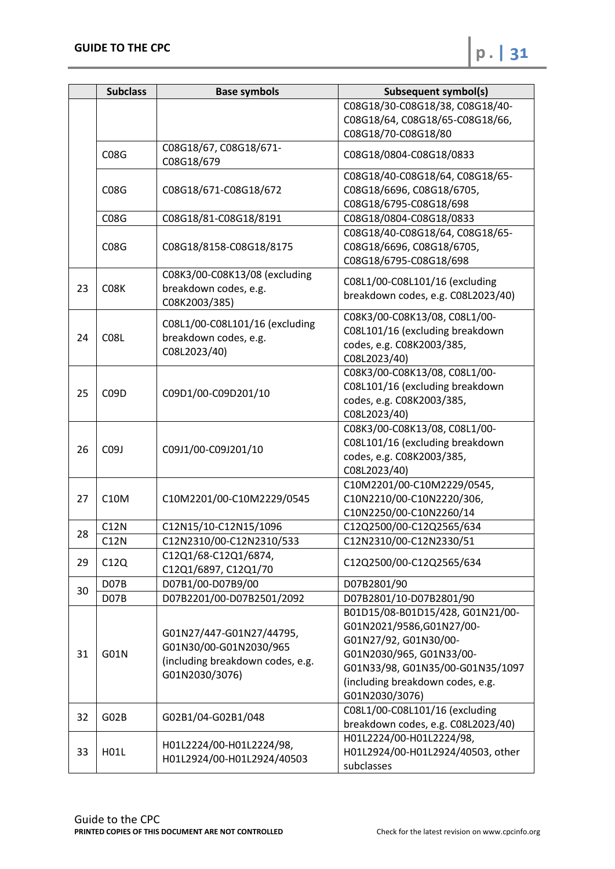|    | <b>Subclass</b>   | <b>Base symbols</b>                                                                                      | <b>Subsequent symbol(s)</b>                             |
|----|-------------------|----------------------------------------------------------------------------------------------------------|---------------------------------------------------------|
|    |                   |                                                                                                          | C08G18/30-C08G18/38, C08G18/40-                         |
|    |                   |                                                                                                          | C08G18/64, C08G18/65-C08G18/66,                         |
|    |                   |                                                                                                          | C08G18/70-C08G18/80                                     |
|    | C08G              | C08G18/67, C08G18/671-<br>C08G18/679                                                                     | C08G18/0804-C08G18/0833                                 |
|    |                   |                                                                                                          | C08G18/40-C08G18/64, C08G18/65-                         |
|    | <b>C08G</b>       | C08G18/671-C08G18/672                                                                                    | C08G18/6696, C08G18/6705,                               |
|    |                   |                                                                                                          | C08G18/6795-C08G18/698                                  |
|    | C08G              | C08G18/81-C08G18/8191                                                                                    | C08G18/0804-C08G18/0833                                 |
|    |                   |                                                                                                          | C08G18/40-C08G18/64, C08G18/65-                         |
|    | CO8G              | C08G18/8158-C08G18/8175                                                                                  | C08G18/6696, C08G18/6705,                               |
|    |                   |                                                                                                          | C08G18/6795-C08G18/698                                  |
|    |                   | C08K3/00-C08K13/08 (excluding                                                                            | C08L1/00-C08L101/16 (excluding                          |
| 23 | C08K              | breakdown codes, e.g.                                                                                    | breakdown codes, e.g. C08L2023/40)                      |
|    |                   | C08K2003/385)                                                                                            |                                                         |
|    |                   | C08L1/00-C08L101/16 (excluding                                                                           | C08K3/00-C08K13/08, C08L1/00-                           |
| 24 | C <sub>0</sub> 8L | breakdown codes, e.g.                                                                                    | C08L101/16 (excluding breakdown                         |
|    |                   | C08L2023/40)                                                                                             | codes, e.g. C08K2003/385,                               |
|    |                   |                                                                                                          | C08L2023/40)                                            |
|    |                   | C09D1/00-C09D201/10                                                                                      | C08K3/00-C08K13/08, C08L1/00-                           |
| 25 | C <sub>09</sub> D |                                                                                                          | C08L101/16 (excluding breakdown                         |
|    |                   |                                                                                                          | codes, e.g. C08K2003/385,                               |
|    |                   |                                                                                                          | C08L2023/40)                                            |
|    | C09J              | C09J1/00-C09J201/10                                                                                      | C08K3/00-C08K13/08, C08L1/00-                           |
| 26 |                   |                                                                                                          | C08L101/16 (excluding breakdown                         |
|    |                   |                                                                                                          | codes, e.g. C08K2003/385,                               |
|    |                   |                                                                                                          | C08L2023/40)                                            |
|    | <b>C10M</b>       | C10M2201/00-C10M2229/0545                                                                                | C10M2201/00-C10M2229/0545,<br>C10N2210/00-C10N2220/306, |
| 27 |                   |                                                                                                          | C10N2250/00-C10N2260/14                                 |
|    | C12N              | C12N15/10-C12N15/1096                                                                                    | C12Q2500/00-C12Q2565/634                                |
| 28 | C12N              | C12N2310/00-C12N2310/533                                                                                 | C12N2310/00-C12N2330/51                                 |
|    |                   | C12Q1/68-C12Q1/6874,                                                                                     |                                                         |
| 29 | C12Q              | C12Q1/6897, C12Q1/70                                                                                     | C12Q2500/00-C12Q2565/634                                |
|    | D07B              | D07B1/00-D07B9/00                                                                                        | D07B2801/90                                             |
| 30 | D <sub>07</sub> B | D07B2201/00-D07B2501/2092                                                                                | D07B2801/10-D07B2801/90                                 |
|    |                   |                                                                                                          | B01D15/08-B01D15/428, G01N21/00-                        |
|    | G01N              |                                                                                                          | G01N2021/9586,G01N27/00-                                |
|    |                   | G01N27/447-G01N27/44795,<br>G01N30/00-G01N2030/965<br>(including breakdown codes, e.g.<br>G01N2030/3076) | G01N27/92, G01N30/00-                                   |
| 31 |                   |                                                                                                          | G01N2030/965, G01N33/00-                                |
|    |                   |                                                                                                          | G01N33/98, G01N35/00-G01N35/1097                        |
|    |                   |                                                                                                          | (including breakdown codes, e.g.                        |
|    |                   |                                                                                                          | G01N2030/3076)                                          |
|    | G02B              | G02B1/04-G02B1/048                                                                                       | C08L1/00-C08L101/16 (excluding                          |
| 32 |                   |                                                                                                          | breakdown codes, e.g. C08L2023/40)                      |
|    |                   |                                                                                                          | H01L2224/00-H01L2224/98,                                |
| 33 | H01L              | H01L2224/00-H01L2224/98,                                                                                 | H01L2924/00-H01L2924/40503, other                       |
|    |                   | H01L2924/00-H01L2924/40503                                                                               | subclasses                                              |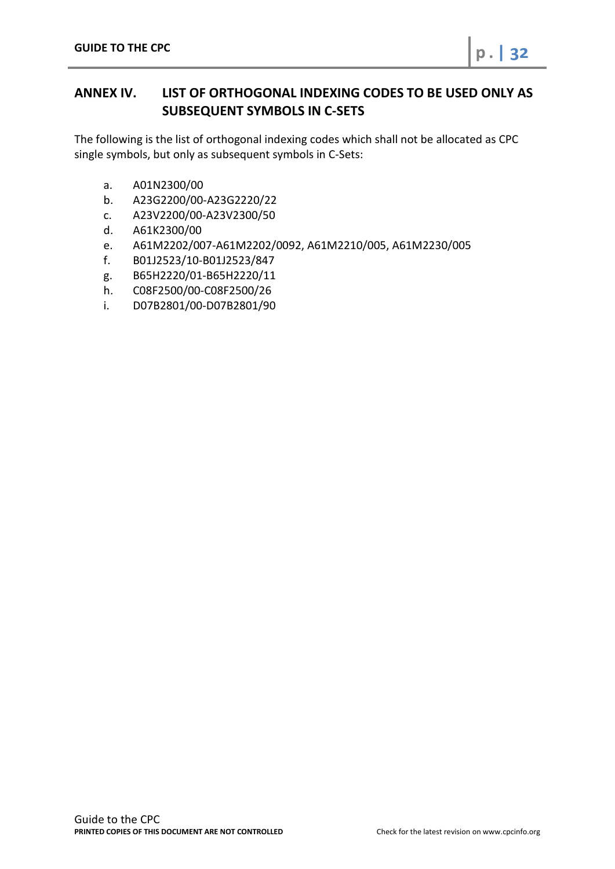<span id="page-31-0"></span>The following is the list of orthogonal indexing codes which shall not be allocated as CPC single symbols, but only as subsequent symbols in C-Sets:

- a. A01N2300/00
- b. A23G2200/00-A23G2220/22
- c. A23V2200/00-A23V2300/50
- d. A61K2300/00
- e. A61M2202/007-A61M2202/0092, A61M2210/005, A61M2230/005
- f. B01J2523/10-B01J2523/847
- g. B65H2220/01-B65H2220/11
- h. C08F2500/00-C08F2500/26
- i. D07B2801/00-D07B2801/90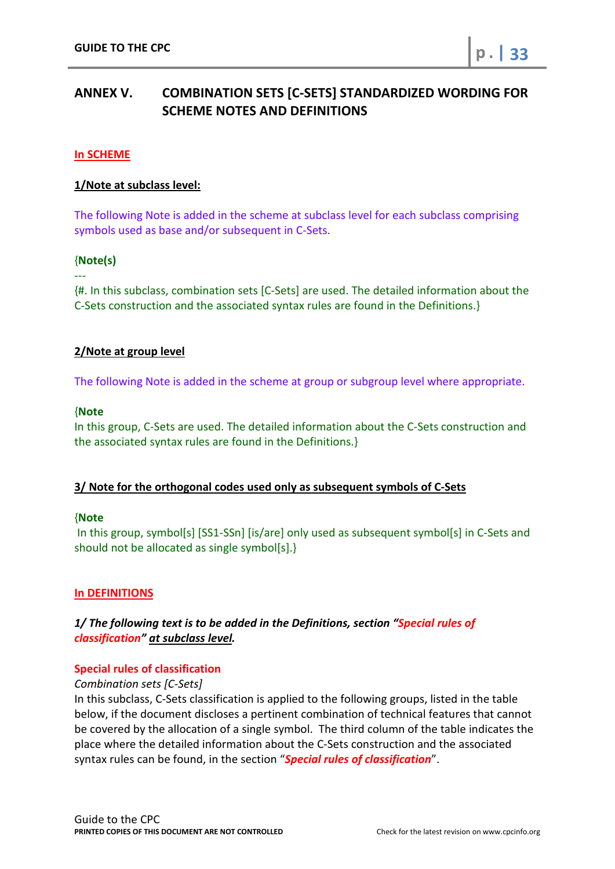# <span id="page-32-0"></span>**ANNEX V. COMBINATION SETS [C-SETS] STANDARDIZED WORDING FOR SCHEME NOTES AND DEFINITIONS**

## **In SCHEME**

## **1/Note at subclass level:**

The following Note is added in the scheme at subclass level for each subclass comprising symbols used as base and/or subsequent in C-Sets.

## {**Note(s)**

---

{#. In this subclass, combination sets [C-Sets] are used. The detailed information about the C-Sets construction and the associated syntax rules are found in the Definitions.}

## **2/Note at group level**

The following Note is added in the scheme at group or subgroup level where appropriate.

#### {**Note**

In this group, C-Sets are used. The detailed information about the C-Sets construction and the associated syntax rules are found in the Definitions.}

#### **3/ Note for the orthogonal codes used only as subsequent symbols of C-Sets**

#### {**Note**

In this group, symbol[s] [SS1-SSn] [is/are] only used as subsequent symbol[s] in C-Sets and should not be allocated as single symbol[s].}

#### **In DEFINITIONS**

# *1/ The following text is to be added in the Definitions, section "Special rules of classification" at subclass level.*

#### **Special rules of classification**

*Combination sets [C-Sets]*

In this subclass, C-Sets classification is applied to the following groups, listed in the table below, if the document discloses a pertinent combination of technical features that cannot be covered by the allocation of a single symbol. The third column of the table indicates the place where the detailed information about the C-Sets construction and the associated syntax rules can be found, in the section "*Special rules of classification*".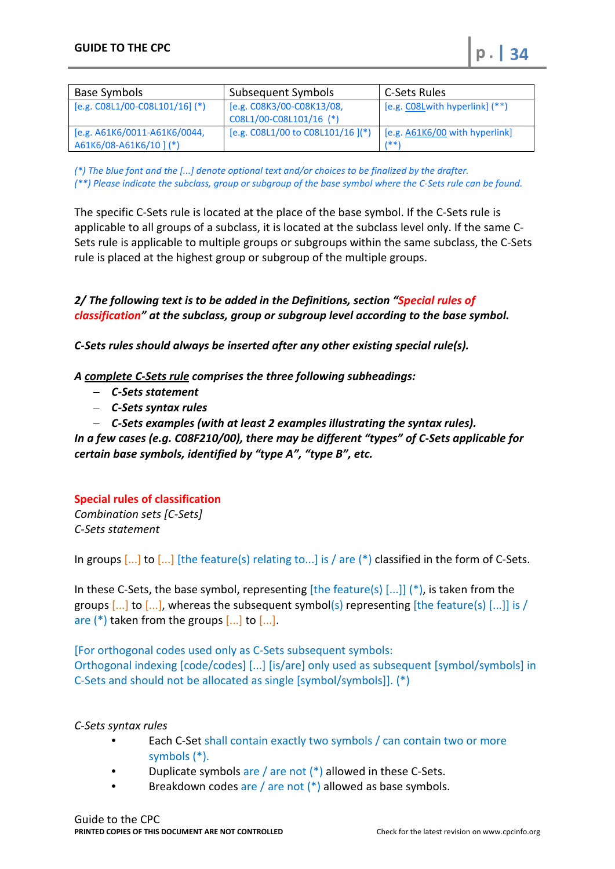| Base Symbols                                            | Subsequent Symbols                                   | C-Sets Rules                           |
|---------------------------------------------------------|------------------------------------------------------|----------------------------------------|
| $[e.g. CO8L1/00-C08L101/16]$ (*)                        | [e.g. C08K3/00-C08K13/08,<br>C08L1/00-C08L101/16 (*) | [e.g. CO8Lwith hyperlink] (**)         |
| [e.g. A61K6/0011-A61K6/0044,<br>A61K6/08-A61K6/10 ] (*) | [e.g. C08L1/00 to C08L101/16](*)                     | [e.g. A61K6/00 with hyperlink]<br>1**' |

*(\*) The blue font and the [...] denote optional text and/or choices to be finalized by the drafter. (\*\*) Please indicate the subclass, group or subgroup of the base symbol where the C-Sets rule can be found.*

The specific C-Sets rule is located at the place of the base symbol. If the C-Sets rule is applicable to all groups of a subclass, it is located at the subclass level only. If the same C-Sets rule is applicable to multiple groups or subgroups within the same subclass, the C-Sets rule is placed at the highest group or subgroup of the multiple groups.

*2/ The following text is to be added in the Definitions, section "Special rules of classification" at the subclass, group or subgroup level according to the base symbol.*

*C-Sets rules should always be inserted after any other existing special rule(s).*

*A complete C-Sets rule comprises the three following subheadings:* 

- − *C-Sets statement*
- − *C-Sets syntax rules*
- − *C-Sets examples (with at least 2 examples illustrating the syntax rules).*

*In a few cases (e.g. C08F210/00), there may be different "types" of C-Sets applicable for certain base symbols, identified by "type A", "type B", etc.*

#### **Special rules of classification**

*Combination sets [C-Sets] C-Sets statement*

In groups [...] to [...] [the feature(s) relating to...] is / are (\*) classified in the form of C-Sets.

In these C-Sets, the base symbol, representing  $[the feature(s)$  [...]] (\*), is taken from the groups  $\left[\ldots\right]$  to  $\left[\ldots\right]$ , whereas the subsequent symbol(s) representing [the feature(s)  $\left[\ldots\right]$ ] is / are  $(*)$  taken from the groups  $[...]$  to  $[...]$ .

[For orthogonal codes used only as C-Sets subsequent symbols: Orthogonal indexing [code/codes] [...] [is/are] only used as subsequent [symbol/symbols] in C-Sets and should not be allocated as single [symbol/symbols]]. (\*)

#### *C-Sets syntax rules*

- Each C-Set shall contain exactly two symbols / can contain two or more symbols (\*).
- Duplicate symbols are / are not  $(*)$  allowed in these C-Sets.
- Breakdown codes are / are not  $(*)$  allowed as base symbols.